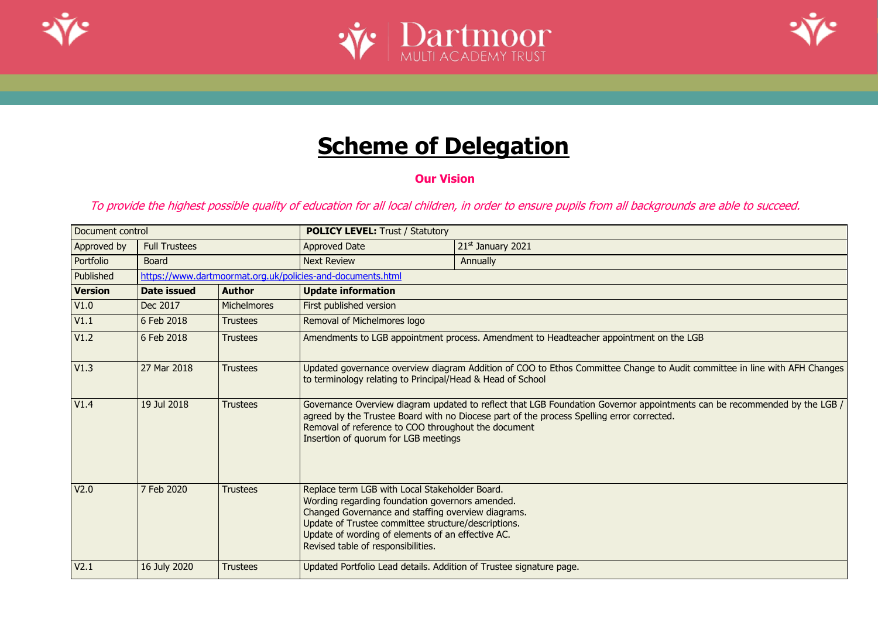





# **Scheme of Delegation**

**Our Vision**

To provide the highest possible quality of education for all local children, in order to ensure pupils from all backgrounds are able to succeed.

| Document control |                      | <b>POLICY LEVEL: Trust / Statutory</b> |                                                                                                                                                                                                                                                                                                           |                                                                                                                                                                                                                       |  |  |
|------------------|----------------------|----------------------------------------|-----------------------------------------------------------------------------------------------------------------------------------------------------------------------------------------------------------------------------------------------------------------------------------------------------------|-----------------------------------------------------------------------------------------------------------------------------------------------------------------------------------------------------------------------|--|--|
| Approved by      | <b>Full Trustees</b> |                                        | <b>Approved Date</b>                                                                                                                                                                                                                                                                                      | 21st January 2021                                                                                                                                                                                                     |  |  |
| Portfolio        | <b>Board</b>         |                                        | <b>Next Review</b>                                                                                                                                                                                                                                                                                        | Annually                                                                                                                                                                                                              |  |  |
| Published        |                      |                                        | https://www.dartmoormat.org.uk/policies-and-documents.html                                                                                                                                                                                                                                                |                                                                                                                                                                                                                       |  |  |
| <b>Version</b>   | Date issued          | <b>Author</b>                          | <b>Update information</b>                                                                                                                                                                                                                                                                                 |                                                                                                                                                                                                                       |  |  |
| V1.0             | Dec 2017             | <b>Michelmores</b>                     | First published version                                                                                                                                                                                                                                                                                   |                                                                                                                                                                                                                       |  |  |
| V1.1             | 6 Feb 2018           | <b>Trustees</b>                        | Removal of Michelmores logo                                                                                                                                                                                                                                                                               |                                                                                                                                                                                                                       |  |  |
| V1.2             | 6 Feb 2018           | <b>Trustees</b>                        |                                                                                                                                                                                                                                                                                                           | Amendments to LGB appointment process. Amendment to Headteacher appointment on the LGB                                                                                                                                |  |  |
| V1.3             | 27 Mar 2018          | <b>Trustees</b>                        | Updated governance overview diagram Addition of COO to Ethos Committee Change to Audit committee in line with AFH Changes<br>to terminology relating to Principal/Head & Head of School                                                                                                                   |                                                                                                                                                                                                                       |  |  |
| V1.4             | 19 Jul 2018          | <b>Trustees</b>                        | Removal of reference to COO throughout the document<br>Insertion of quorum for LGB meetings                                                                                                                                                                                                               | Governance Overview diagram updated to reflect that LGB Foundation Governor appointments can be recommended by the LGB /<br>agreed by the Trustee Board with no Diocese part of the process Spelling error corrected. |  |  |
| V <sub>2.0</sub> | 7 Feb 2020           | <b>Trustees</b>                        | Replace term LGB with Local Stakeholder Board.<br>Wording regarding foundation governors amended.<br>Changed Governance and staffing overview diagrams.<br>Update of Trustee committee structure/descriptions.<br>Update of wording of elements of an effective AC.<br>Revised table of responsibilities. |                                                                                                                                                                                                                       |  |  |
| V <sub>2.1</sub> | 16 July 2020         | <b>Trustees</b>                        | Updated Portfolio Lead details. Addition of Trustee signature page.                                                                                                                                                                                                                                       |                                                                                                                                                                                                                       |  |  |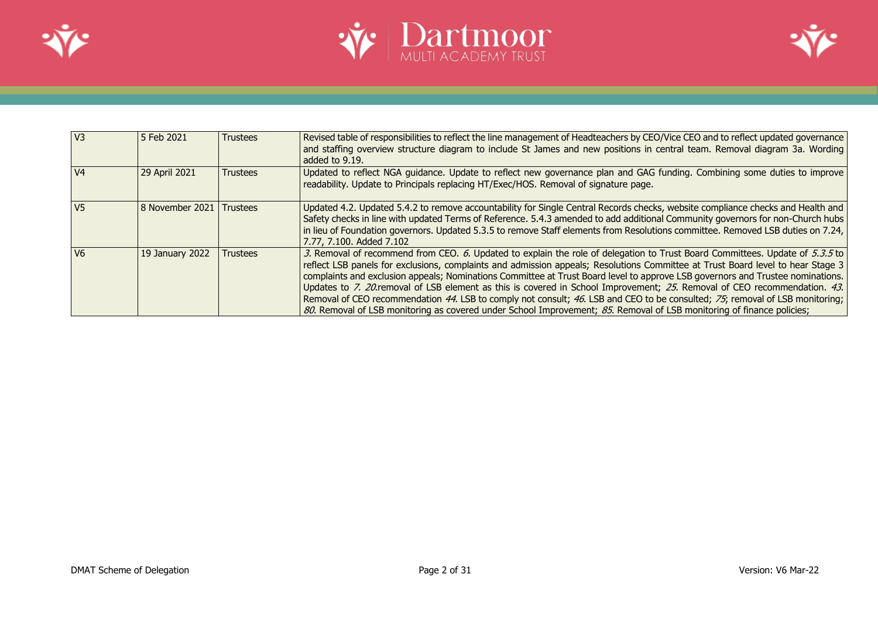





| I V3           | l 5 Feb 2021    | <b>Trustees</b> | Revised table of responsibilities to reflect the line management of Headteachers by CEO/Vice CEO and to reflect updated governance<br>and staffing overview structure diagram to include St James and new positions in central team. Removal diagram 3a. Wording<br>added to 9.19.                                                                                                                                                                                                                                                                                                                                                                                                                                                                                                     |
|----------------|-----------------|-----------------|----------------------------------------------------------------------------------------------------------------------------------------------------------------------------------------------------------------------------------------------------------------------------------------------------------------------------------------------------------------------------------------------------------------------------------------------------------------------------------------------------------------------------------------------------------------------------------------------------------------------------------------------------------------------------------------------------------------------------------------------------------------------------------------|
| V <sub>4</sub> | 29 April 2021   | <b>Trustees</b> | Updated to reflect NGA guidance. Update to reflect new governance plan and GAG funding. Combining some duties to improve<br>readability. Update to Principals replacing HT/Exec/HOS. Removal of signature page.                                                                                                                                                                                                                                                                                                                                                                                                                                                                                                                                                                        |
| V <sub>5</sub> | 8 November 2021 | <b>Trustees</b> | Updated 4.2. Updated 5.4.2 to remove accountability for Single Central Records checks, website compliance checks and Health and<br>Safety checks in line with updated Terms of Reference. 5.4.3 amended to add additional Community governors for non-Church hubs<br>in lieu of Foundation governors. Updated 5.3.5 to remove Staff elements from Resolutions committee. Removed LSB duties on 7.24,<br>7.77, 7.100. Added 7.102                                                                                                                                                                                                                                                                                                                                                       |
| V <sub>6</sub> | 19 January 2022 | <b>Trustees</b> | 3. Removal of recommend from CEO. 6. Updated to explain the role of delegation to Trust Board Committees. Update of 5.3.5 to<br>reflect LSB panels for exclusions, complaints and admission appeals; Resolutions Committee at Trust Board level to hear Stage 3<br>complaints and exclusion appeals; Nominations Committee at Trust Board level to approve LSB governors and Trustee nominations.<br>Updates to 7. 20 removal of LSB element as this is covered in School Improvement; 25. Removal of CEO recommendation. 43.<br>Removal of CEO recommendation 44. LSB to comply not consult; 46. LSB and CEO to be consulted; 75; removal of LSB monitoring;<br>80. Removal of LSB monitoring as covered under School Improvement; 85. Removal of LSB monitoring of finance policies; |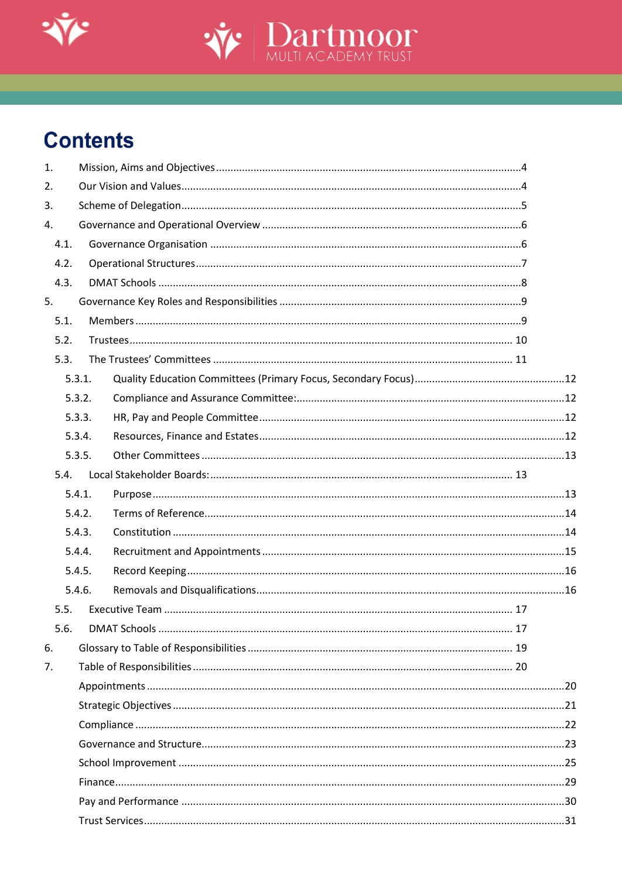



# **Contents**

| 1.   |        |    |  |
|------|--------|----|--|
| 2.   |        |    |  |
| 3.   |        |    |  |
| 4.   |        |    |  |
| 4.1. |        |    |  |
| 4.2. |        |    |  |
| 4.3. |        |    |  |
| 5.   |        |    |  |
| 5.1. |        |    |  |
| 5.2. |        |    |  |
| 5.3. |        |    |  |
|      | 5.3.1. |    |  |
|      | 5.3.2. |    |  |
|      | 5.3.3. |    |  |
|      | 5.3.4. |    |  |
|      | 5.3.5. |    |  |
| 5.4. |        |    |  |
|      | 5.4.1. |    |  |
|      | 5.4.2. |    |  |
|      | 5.4.3. |    |  |
|      | 5.4.4. |    |  |
|      | 5.4.5. |    |  |
|      | 5.4.6. |    |  |
| 5.5. |        |    |  |
| 5.6. |        | 17 |  |
| 6.   |        |    |  |
| 7.   |        |    |  |
|      |        |    |  |
|      |        |    |  |
|      |        |    |  |
|      |        |    |  |
|      |        |    |  |
|      |        |    |  |
|      |        |    |  |
|      |        |    |  |
|      |        |    |  |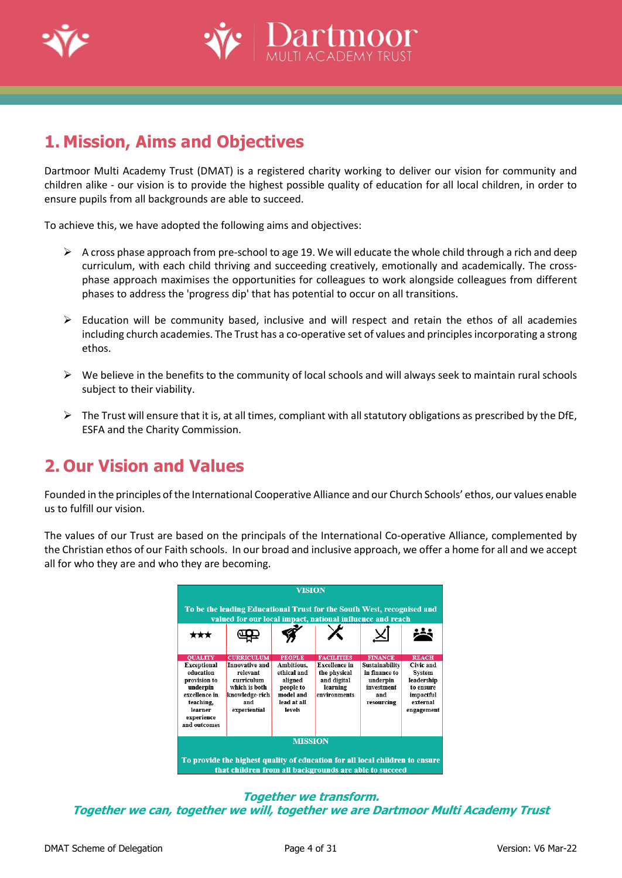



# <span id="page-3-0"></span>**1. Mission, Aims and Objectives**

Dartmoor Multi Academy Trust (DMAT) is a registered charity working to deliver our vision for community and children alike - our vision is to provide the highest possible quality of education for all local children, in order to ensure pupils from all backgrounds are able to succeed.

To achieve this, we have adopted the following aims and objectives:

- $\triangleright$  A cross phase approach from pre-school to age 19. We will educate the whole child through a rich and deep curriculum, with each child thriving and succeeding creatively, emotionally and academically. The crossphase approach maximises the opportunities for colleagues to work alongside colleagues from different phases to address the 'progress dip' that has potential to occur on all transitions.
- $\triangleright$  Education will be community based, inclusive and will respect and retain the ethos of all academies including church academies. The Trust has a co-operative set of values and principles incorporating a strong ethos.
- $\triangleright$  We believe in the benefits to the community of local schools and will always seek to maintain rural schools subject to their viability.
- $\triangleright$  The Trust will ensure that it is, at all times, compliant with all statutory obligations as prescribed by the DfE, ESFA and the Charity Commission.

## <span id="page-3-1"></span>**2. Our Vision and Values**

Founded in the principles ofthe International Cooperative Alliance and our Church Schools' ethos, our values enable us to fulfill our vision.

The values of our Trust are based on the principals of the International Co-operative Alliance, complemented by the Christian ethos of our Faith schools. In our broad and inclusive approach, we offer a home for all and we accept all for who they are and who they are becoming.



**Together we transform. Together we can, together we will, together we are Dartmoor Multi Academy Trust**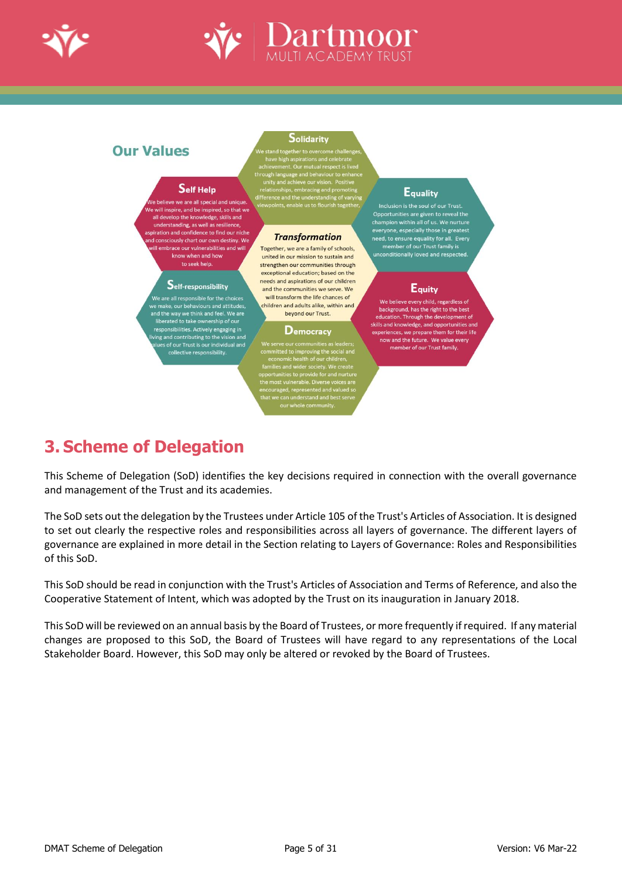



### **Our Values**

### Self Help

e we are all special and uniq will inspire, and be inspired, so that we all develop the knowledge, skills and understanding, as well as resilience iration and confidence to find our niche onsciously chart our own destiny. We ill embrace our vulnerabilities and will know when and how to seek help.

### Self-responsibility

We are all responsible for the choices<br>/e make, our behaviours and attitudes, I the way we think and feel. We are to the way we think and test, we are<br>liberated to take ownership of our<br>esponsibilities. Actively engaging in<br>ing and contributing to the vision and<br>lues of our Trust is our individual and<br>collective responsibility.

#### Solidarity

#### **Transformation**

Together, we are a family of schools, united in our mission to sustain and strengthen our communities through exceptional education: based on the needs and aspirations of our children and the communities we serve. We will transform the life chances of children and adults alike, within and beyond our Trust.

#### **Democracy**

#### **Equality**

Opportunities are given to reveal the ber of our Trust family i: unconditionally loved and respected.

#### **Equity**

We believe every child, regardless of background, has the right to the best<br>education. Through the development of skills and knowledge, and opportunities and experiences, we prepare them for their life<br>now and the future. We value every member of our Trust family

# <span id="page-4-0"></span>**3. Scheme of Delegation**

This Scheme of Delegation (SoD) identifies the key decisions required in connection with the overall governance and management of the Trust and its academies.

The SoD sets out the delegation by the Trustees under Article 105 of the Trust's Articles of Association. It is designed to set out clearly the respective roles and responsibilities across all layers of governance. The different layers of governance are explained in more detail in the Section relating to Layers of Governance: Roles and Responsibilities of this SoD.

This SoD should be read in conjunction with the Trust's Articles of Association and Terms of Reference, and also the Cooperative Statement of Intent, which was adopted by the Trust on its inauguration in January 2018.

This SoD will be reviewed on an annual basis by the Board of Trustees, or more frequently if required. If any material changes are proposed to this SoD, the Board of Trustees will have regard to any representations of the Local Stakeholder Board. However, this SoD may only be altered or revoked by the Board of Trustees.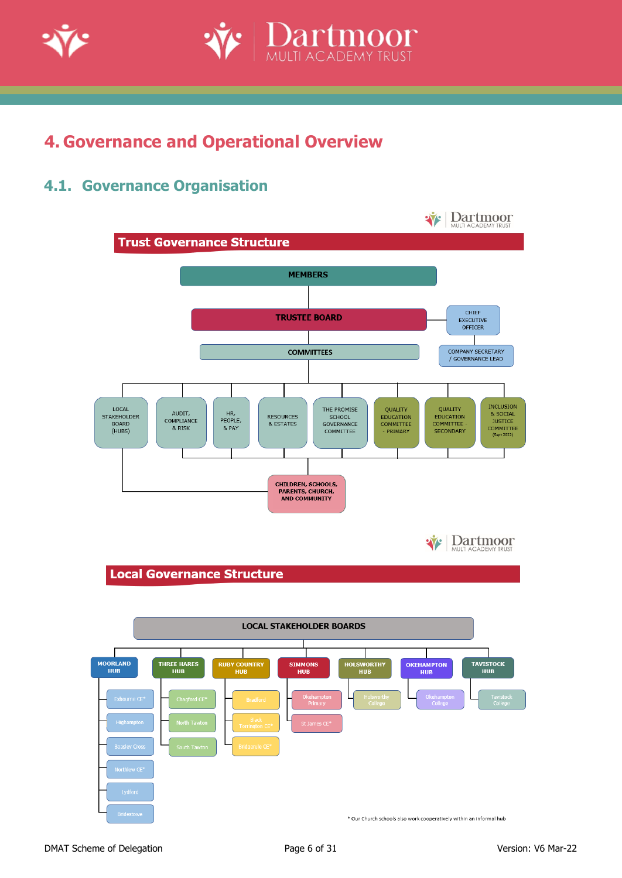

<span id="page-5-0"></span>

### <span id="page-5-1"></span>**4.1. Governance Organisation**



**Dartmoor**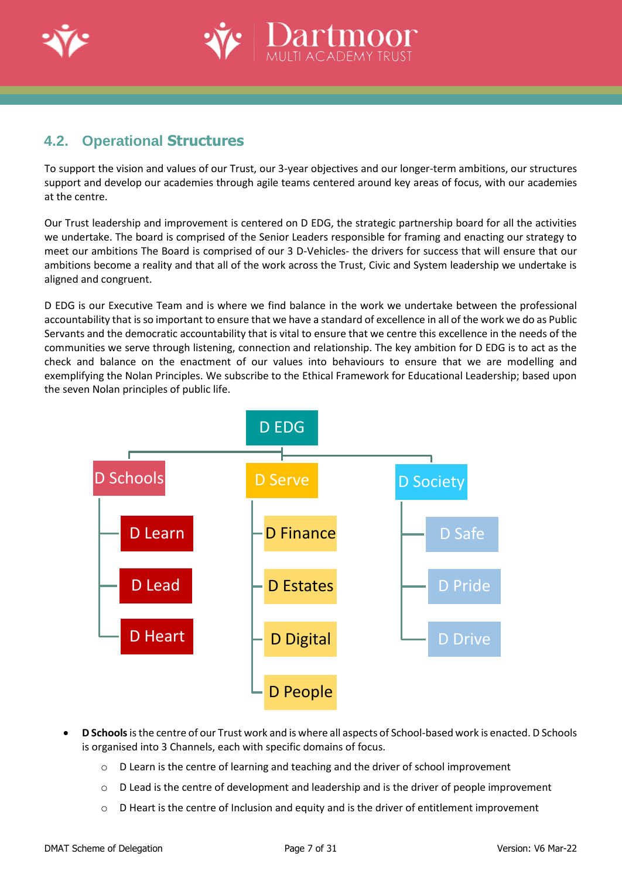



### <span id="page-6-0"></span>**4.2. Operational Structures**

To support the vision and values of our Trust, our 3-year objectives and our longer-term ambitions, our structures support and develop our academies through agile teams centered around key areas of focus, with our academies at the centre.

Our Trust leadership and improvement is centered on D EDG, the strategic partnership board for all the activities we undertake. The board is comprised of the Senior Leaders responsible for framing and enacting our strategy to meet our ambitions The Board is comprised of our 3 D-Vehicles- the drivers for success that will ensure that our ambitions become a reality and that all of the work across the Trust, Civic and System leadership we undertake is aligned and congruent.

D EDG is our Executive Team and is where we find balance in the work we undertake between the professional accountability that is so important to ensure that we have a standard of excellence in all of the work we do as Public Servants and the democratic accountability that is vital to ensure that we centre this excellence in the needs of the communities we serve through listening, connection and relationship. The key ambition for D EDG is to act as the check and balance on the enactment of our values into behaviours to ensure that we are modelling and exemplifying the Nolan Principles. We subscribe to the Ethical Framework for Educational Leadership; based upon the seven Nolan principles of public life.



- **D Schools**is the centre of our Trust work and is where all aspects of School-based work is enacted. D Schools is organised into 3 Channels, each with specific domains of focus.
	- o D Learn is the centre of learning and teaching and the driver of school improvement
	- o D Lead is the centre of development and leadership and is the driver of people improvement
	- $\circ$  D Heart is the centre of Inclusion and equity and is the driver of entitlement improvement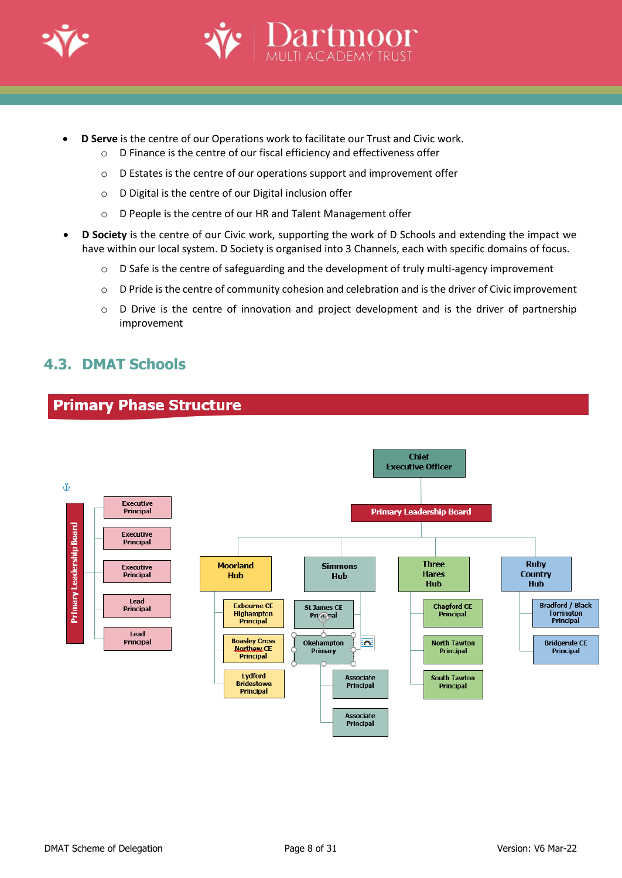

- **D Serve** is the centre of our Operations work to facilitate our Trust and Civic work.
	- o D Finance is the centre of our fiscal efficiency and effectiveness offer
	- o D Estates is the centre of our operations support and improvement offer
	- o D Digital is the centre of our Digital inclusion offer
	- o D People is the centre of our HR and Talent Management offer
- **D Society** is the centre of our Civic work, supporting the work of D Schools and extending the impact we have within our local system. D Society is organised into 3 Channels, each with specific domains of focus.
	- $\circ$  D Safe is the centre of safeguarding and the development of truly multi-agency improvement
	- o D Pride is the centre of community cohesion and celebration and is the driver of Civic improvement

Jartmoc

o D Drive is the centre of innovation and project development and is the driver of partnership improvement

### <span id="page-7-0"></span>**4.3. DMAT Schools**

**Primary Phase Structure** 

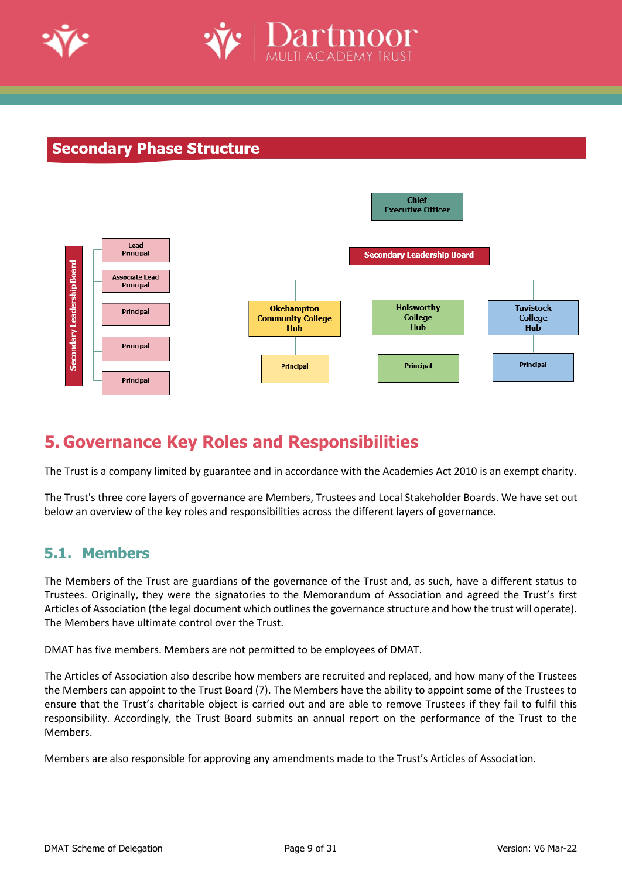



### **Secondary Phase Structure**



# <span id="page-8-0"></span>**5. Governance Key Roles and Responsibilities**

The Trust is a company limited by guarantee and in accordance with the Academies Act 2010 is an exempt charity.

The Trust's three core layers of governance are Members, Trustees and Local Stakeholder Boards. We have set out below an overview of the key roles and responsibilities across the different layers of governance.

### <span id="page-8-1"></span>**5.1. Members**

The Members of the Trust are guardians of the governance of the Trust and, as such, have a different status to Trustees. Originally, they were the signatories to the Memorandum of Association and agreed the Trust's first Articles of Association (the legal document which outlines the governance structure and how the trust will operate). The Members have ultimate control over the Trust.

DMAT has five members. Members are not permitted to be employees of DMAT.

The Articles of Association also describe how members are recruited and replaced, and how many of the Trustees the Members can appoint to the Trust Board (7). The Members have the ability to appoint some of the Trustees to ensure that the Trust's charitable object is carried out and are able to remove Trustees if they fail to fulfil this responsibility. Accordingly, the Trust Board submits an annual report on the performance of the Trust to the Members.

Members are also responsible for approving any amendments made to the Trust's Articles of Association.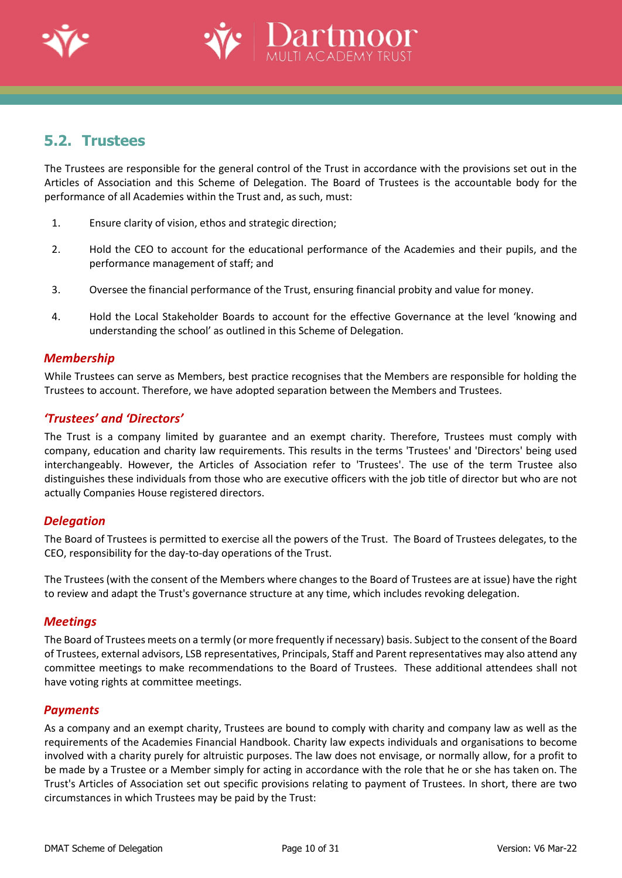



### <span id="page-9-0"></span>**5.2. Trustees**

The Trustees are responsible for the general control of the Trust in accordance with the provisions set out in the Articles of Association and this Scheme of Delegation. The Board of Trustees is the accountable body for the performance of all Academies within the Trust and, as such, must:

- 1. Ensure clarity of vision, ethos and strategic direction;
- 2. Hold the CEO to account for the educational performance of the Academies and their pupils, and the performance management of staff; and
- 3. Oversee the financial performance of the Trust, ensuring financial probity and value for money.
- 4. Hold the Local Stakeholder Boards to account for the effective Governance at the level 'knowing and understanding the school' as outlined in this Scheme of Delegation.

#### *Membership*

While Trustees can serve as Members, best practice recognises that the Members are responsible for holding the Trustees to account. Therefore, we have adopted separation between the Members and Trustees.

### *'Trustees' and 'Directors'*

The Trust is a company limited by guarantee and an exempt charity. Therefore, Trustees must comply with company, education and charity law requirements. This results in the terms 'Trustees' and 'Directors' being used interchangeably. However, the Articles of Association refer to 'Trustees'. The use of the term Trustee also distinguishes these individuals from those who are executive officers with the job title of director but who are not actually Companies House registered directors.

### *Delegation*

The Board of Trustees is permitted to exercise all the powers of the Trust. The Board of Trustees delegates, to the CEO, responsibility for the day-to-day operations of the Trust.

The Trustees (with the consent of the Members where changes to the Board of Trustees are at issue) have the right to review and adapt the Trust's governance structure at any time, which includes revoking delegation.

#### *Meetings*

The Board of Trustees meets on a termly (or more frequently if necessary) basis. Subject to the consent of the Board of Trustees, external advisors, LSB representatives, Principals, Staff and Parent representatives may also attend any committee meetings to make recommendations to the Board of Trustees. These additional attendees shall not have voting rights at committee meetings.

#### *Payments*

As a company and an exempt charity, Trustees are bound to comply with charity and company law as well as the requirements of the Academies Financial Handbook. Charity law expects individuals and organisations to become involved with a charity purely for altruistic purposes. The law does not envisage, or normally allow, for a profit to be made by a Trustee or a Member simply for acting in accordance with the role that he or she has taken on. The Trust's Articles of Association set out specific provisions relating to payment of Trustees. In short, there are two circumstances in which Trustees may be paid by the Trust: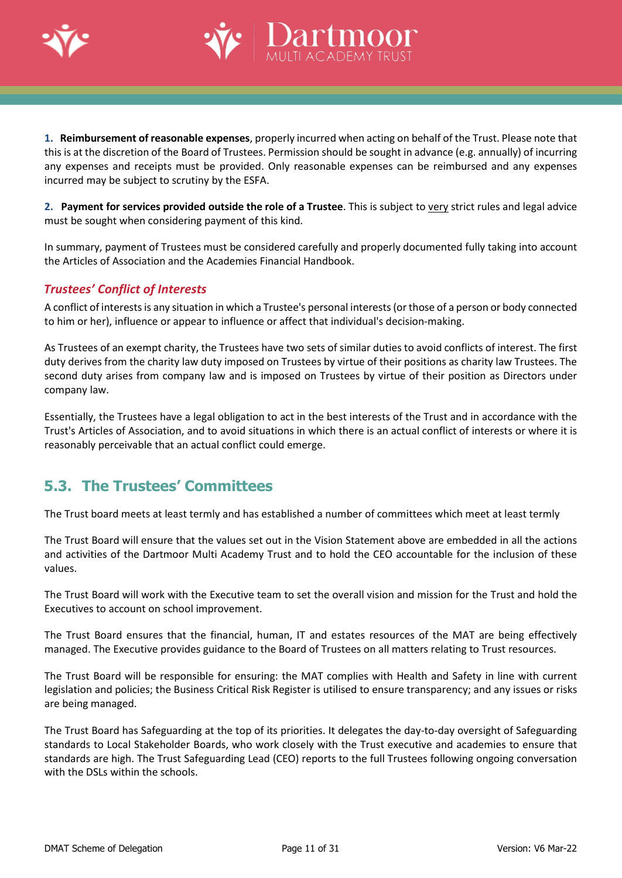



**1. Reimbursement of reasonable expenses**, properly incurred when acting on behalf of the Trust. Please note that this is at the discretion of the Board of Trustees. Permission should be sought in advance (e.g. annually) of incurring any expenses and receipts must be provided. Only reasonable expenses can be reimbursed and any expenses incurred may be subject to scrutiny by the ESFA.

**2. Payment for services provided outside the role of a Trustee**. This is subject to very strict rules and legal advice must be sought when considering payment of this kind.

In summary, payment of Trustees must be considered carefully and properly documented fully taking into account the Articles of Association and the Academies Financial Handbook.

### *Trustees' Conflict of Interests*

A conflict of interestsis any situation in which a Trustee's personal interests(orthose of a person or body connected to him or her), influence or appear to influence or affect that individual's decision-making.

As Trustees of an exempt charity, the Trustees have two sets of similar duties to avoid conflicts of interest. The first duty derives from the charity law duty imposed on Trustees by virtue of their positions as charity law Trustees. The second duty arises from company law and is imposed on Trustees by virtue of their position as Directors under company law.

Essentially, the Trustees have a legal obligation to act in the best interests of the Trust and in accordance with the Trust's Articles of Association, and to avoid situations in which there is an actual conflict of interests or where it is reasonably perceivable that an actual conflict could emerge.

### <span id="page-10-0"></span>**5.3. The Trustees' Committees**

The Trust board meets at least termly and has established a number of committees which meet at least termly

The Trust Board will ensure that the values set out in the Vision Statement above are embedded in all the actions and activities of the Dartmoor Multi Academy Trust and to hold the CEO accountable for the inclusion of these values.

The Trust Board will work with the Executive team to set the overall vision and mission for the Trust and hold the Executives to account on school improvement.

The Trust Board ensures that the financial, human, IT and estates resources of the MAT are being effectively managed. The Executive provides guidance to the Board of Trustees on all matters relating to Trust resources.

The Trust Board will be responsible for ensuring: the MAT complies with Health and Safety in line with current legislation and policies; the Business Critical Risk Register is utilised to ensure transparency; and any issues or risks are being managed.

The Trust Board has Safeguarding at the top of its priorities. It delegates the day-to-day oversight of Safeguarding standards to Local Stakeholder Boards, who work closely with the Trust executive and academies to ensure that standards are high. The Trust Safeguarding Lead (CEO) reports to the full Trustees following ongoing conversation with the DSLs within the schools.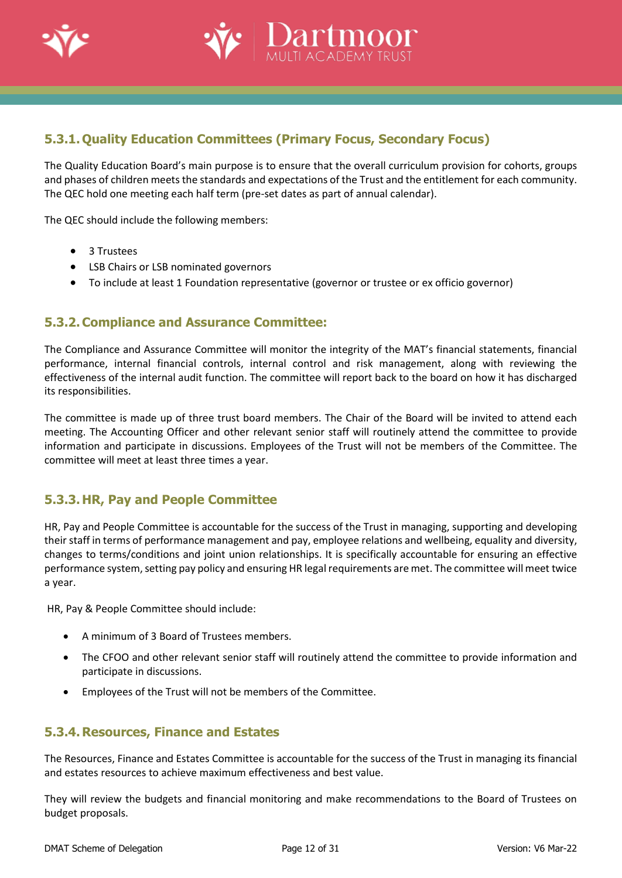



### <span id="page-11-0"></span>**5.3.1.Quality Education Committees (Primary Focus, Secondary Focus)**

The Quality Education Board's main purpose is to ensure that the overall curriculum provision for cohorts, groups and phases of children meets the standards and expectations of the Trust and the entitlement for each community. The QEC hold one meeting each half term (pre-set dates as part of annual calendar).

The QEC should include the following members:

- 3 Trustees
- LSB Chairs or LSB nominated governors
- To include at least 1 Foundation representative (governor or trustee or ex officio governor)

### <span id="page-11-1"></span>**5.3.2.Compliance and Assurance Committee:**

The Compliance and Assurance Committee will monitor the integrity of the MAT's financial statements, financial performance, internal financial controls, internal control and risk management, along with reviewing the effectiveness of the internal audit function. The committee will report back to the board on how it has discharged its responsibilities.

The committee is made up of three trust board members. The Chair of the Board will be invited to attend each meeting. The Accounting Officer and other relevant senior staff will routinely attend the committee to provide information and participate in discussions. Employees of the Trust will not be members of the Committee. The committee will meet at least three times a year.

### <span id="page-11-2"></span>**5.3.3.HR, Pay and People Committee**

HR, Pay and People Committee is accountable for the success of the Trust in managing, supporting and developing their staff in terms of performance management and pay, employee relations and wellbeing, equality and diversity, changes to terms/conditions and joint union relationships. It is specifically accountable for ensuring an effective performance system, setting pay policy and ensuring HR legal requirements are met. The committee will meet twice a year.

HR, Pay & People Committee should include:

- A minimum of 3 Board of Trustees members.
- The CFOO and other relevant senior staff will routinely attend the committee to provide information and participate in discussions.
- Employees of the Trust will not be members of the Committee.

### <span id="page-11-3"></span>**5.3.4. Resources, Finance and Estates**

The Resources, Finance and Estates Committee is accountable for the success of the Trust in managing its financial and estates resources to achieve maximum effectiveness and best value.

They will review the budgets and financial monitoring and make recommendations to the Board of Trustees on budget proposals.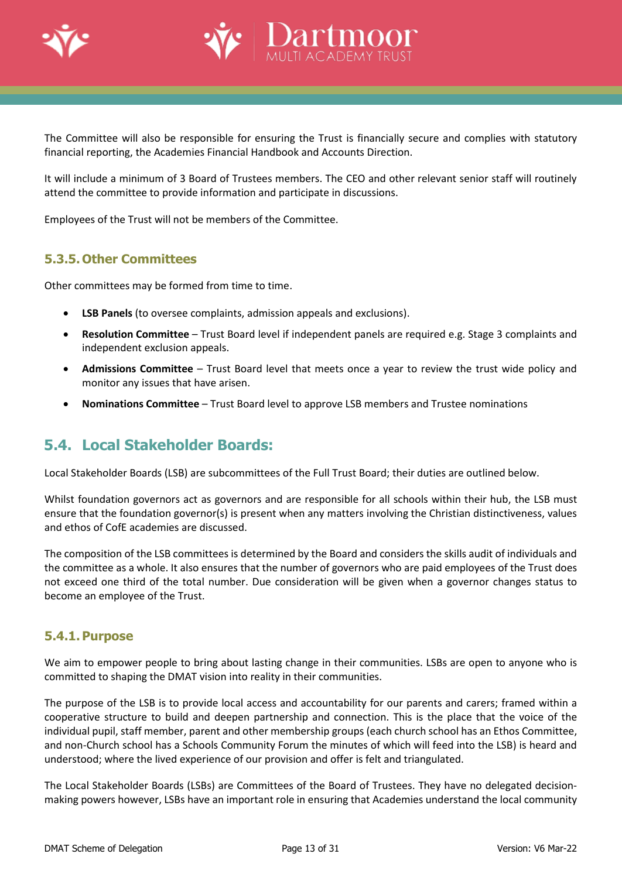



The Committee will also be responsible for ensuring the Trust is financially secure and complies with statutory financial reporting, the Academies Financial Handbook and Accounts Direction.

It will include a minimum of 3 Board of Trustees members. The CEO and other relevant senior staff will routinely attend the committee to provide information and participate in discussions.

Employees of the Trust will not be members of the Committee.

### <span id="page-12-0"></span>**5.3.5.Other Committees**

Other committees may be formed from time to time.

- **LSB Panels** (to oversee complaints, admission appeals and exclusions).
- **Resolution Committee** Trust Board level if independent panels are required e.g. Stage 3 complaints and independent exclusion appeals.
- **Admissions Committee**  Trust Board level that meets once a year to review the trust wide policy and monitor any issues that have arisen.
- **Nominations Committee** Trust Board level to approve LSB members and Trustee nominations

### <span id="page-12-1"></span>**5.4. Local Stakeholder Boards:**

Local Stakeholder Boards (LSB) are subcommittees of the Full Trust Board; their duties are outlined below.

Whilst foundation governors act as governors and are responsible for all schools within their hub, the LSB must ensure that the foundation governor(s) is present when any matters involving the Christian distinctiveness, values and ethos of CofE academies are discussed.

The composition of the LSB committees is determined by the Board and considers the skills audit of individuals and the committee as a whole. It also ensures that the number of governors who are paid employees of the Trust does not exceed one third of the total number. Due consideration will be given when a governor changes status to become an employee of the Trust.

### <span id="page-12-2"></span>**5.4.1.Purpose**

We aim to empower people to bring about lasting change in their communities. LSBs are open to anyone who is committed to shaping the DMAT vision into reality in their communities.

The purpose of the LSB is to provide local access and accountability for our parents and carers; framed within a cooperative structure to build and deepen partnership and connection. This is the place that the voice of the individual pupil, staff member, parent and other membership groups (each church school has an Ethos Committee, and non-Church school has a Schools Community Forum the minutes of which will feed into the LSB) is heard and understood; where the lived experience of our provision and offer is felt and triangulated.

The Local Stakeholder Boards (LSBs) are Committees of the Board of Trustees. They have no delegated decisionmaking powers however, LSBs have an important role in ensuring that Academies understand the local community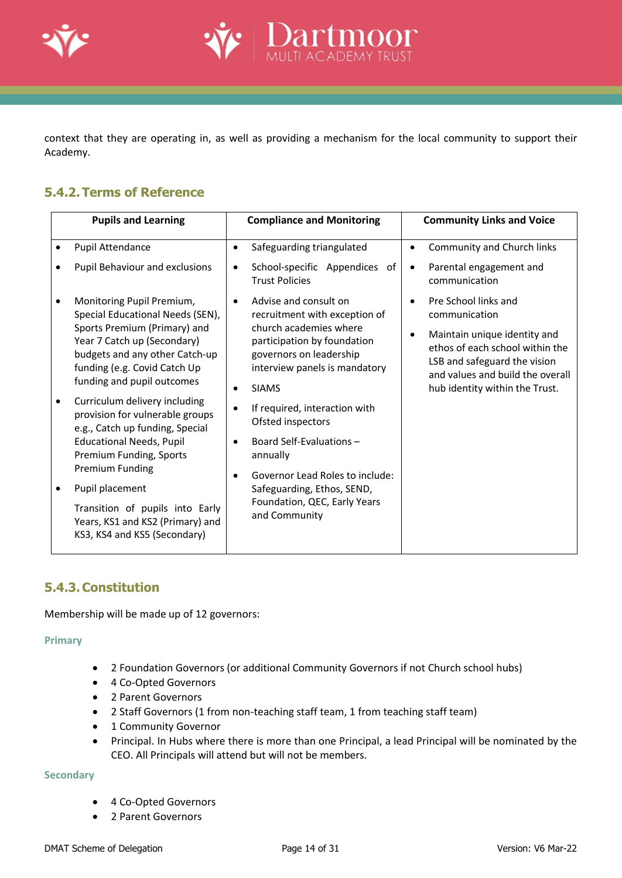

context that they are operating in, as well as providing a mechanism for the local community to support their Academy.

artmoor

### <span id="page-13-0"></span>**5.4.2.Terms of Reference**

| <b>Pupils and Learning</b>                                                                                                                                                                                                   |                        | <b>Compliance and Monitoring</b>                                                                                                                                                            | <b>Community Links and Voice</b> |                                                                                                                                                                                                                |  |
|------------------------------------------------------------------------------------------------------------------------------------------------------------------------------------------------------------------------------|------------------------|---------------------------------------------------------------------------------------------------------------------------------------------------------------------------------------------|----------------------------------|----------------------------------------------------------------------------------------------------------------------------------------------------------------------------------------------------------------|--|
| Pupil Attendance                                                                                                                                                                                                             | $\bullet$              | Safeguarding triangulated                                                                                                                                                                   |                                  | Community and Church links                                                                                                                                                                                     |  |
| Pupil Behaviour and exclusions                                                                                                                                                                                               | $\bullet$              | School-specific Appendices of<br><b>Trust Policies</b>                                                                                                                                      | $\bullet$                        | Parental engagement and<br>communication                                                                                                                                                                       |  |
| Monitoring Pupil Premium,<br>Special Educational Needs (SEN),<br>Sports Premium (Primary) and<br>Year 7 Catch up (Secondary)<br>budgets and any other Catch-up<br>funding (e.g. Covid Catch Up<br>funding and pupil outcomes | $\bullet$              | Advise and consult on<br>recruitment with exception of<br>church academies where<br>participation by foundation<br>governors on leadership<br>interview panels is mandatory<br><b>SIAMS</b> | $\bullet$<br>$\bullet$           | Pre School links and<br>communication<br>Maintain unique identity and<br>ethos of each school within the<br>LSB and safeguard the vision<br>and values and build the overall<br>hub identity within the Trust. |  |
| Curriculum delivery including<br>provision for vulnerable groups<br>e.g., Catch up funding, Special<br><b>Educational Needs, Pupil</b><br>Premium Funding, Sports<br>Premium Funding                                         | $\bullet$<br>$\bullet$ | If required, interaction with<br>Ofsted inspectors<br>Board Self-Evaluations -<br>annually<br>Governor Lead Roles to include:                                                               |                                  |                                                                                                                                                                                                                |  |
| Pupil placement<br>Transition of pupils into Early<br>Years, KS1 and KS2 (Primary) and<br>KS3, KS4 and KS5 (Secondary)                                                                                                       |                        | Safeguarding, Ethos, SEND,<br>Foundation, QEC, Early Years<br>and Community                                                                                                                 |                                  |                                                                                                                                                                                                                |  |

### <span id="page-13-1"></span>**5.4.3.Constitution**

Membership will be made up of 12 governors:

#### **Primary**

- 2 Foundation Governors (or additional Community Governors if not Church school hubs)
- 4 Co-Opted Governors
- 2 Parent Governors
- 2 Staff Governors (1 from non-teaching staff team, 1 from teaching staff team)
- 1 Community Governor
- Principal. In Hubs where there is more than one Principal, a lead Principal will be nominated by the CEO. All Principals will attend but will not be members.

#### **Secondary**

- 4 Co-Opted Governors
- 2 Parent Governors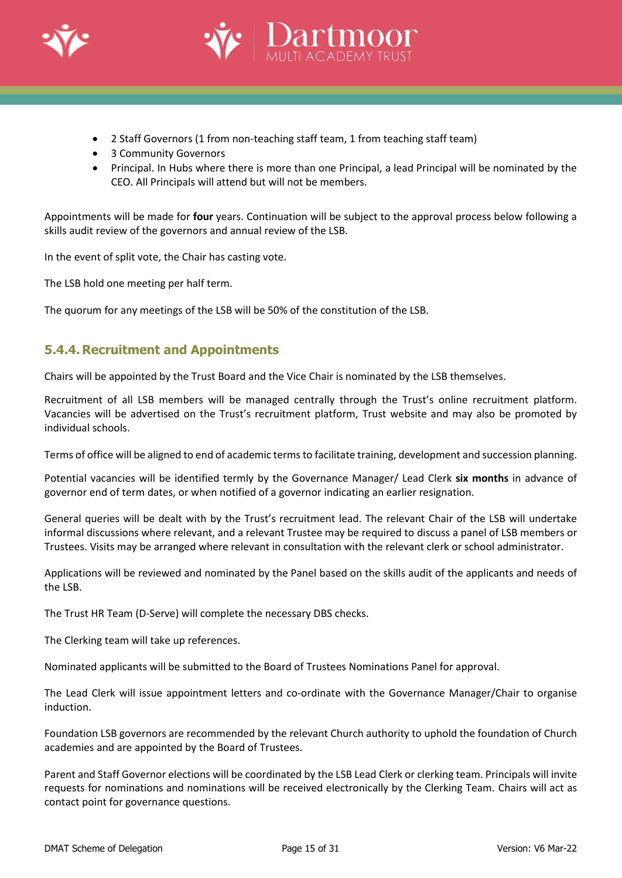



- 2 Staff Governors (1 from non-teaching staff team, 1 from teaching staff team)
- 3 Community Governors
- Principal. In Hubs where there is more than one Principal, a lead Principal will be nominated by the CEO. All Principals will attend but will not be members.

Appointments will be made for **four** years. Continuation will be subject to the approval process below following a skills audit review of the governors and annual review of the LSB.

In the event of split vote, the Chair has casting vote.

The LSB hold one meeting per half term.

The quorum for any meetings of the LSB will be 50% of the constitution of the LSB.

### <span id="page-14-0"></span>**5.4.4. Recruitment and Appointments**

Chairs will be appointed by the Trust Board and the Vice Chair is nominated by the LSB themselves.

Recruitment of all LSB members will be managed centrally through the Trust's online recruitment platform. Vacancies will be advertised on the Trust's recruitment platform, Trust website and may also be promoted by individual schools.

Terms of office will be aligned to end of academic termsto facilitate training, development and succession planning.

Potential vacancies will be identified termly by the Governance Manager/ Lead Clerk **six months** in advance of governor end of term dates, or when notified of a governor indicating an earlier resignation.

General queries will be dealt with by the Trust's recruitment lead. The relevant Chair of the LSB will undertake informal discussions where relevant, and a relevant Trustee may be required to discuss a panel of LSB members or Trustees. Visits may be arranged where relevant in consultation with the relevant clerk or school administrator.

Applications will be reviewed and nominated by the Panel based on the skills audit of the applicants and needs of the LSB.

The Trust HR Team (D-Serve) will complete the necessary DBS checks.

The Clerking team will take up references.

Nominated applicants will be submitted to the Board of Trustees Nominations Panel for approval.

The Lead Clerk will issue appointment letters and co-ordinate with the Governance Manager/Chair to organise induction.

Foundation LSB governors are recommended by the relevant Church authority to uphold the foundation of Church academies and are appointed by the Board of Trustees.

Parent and Staff Governor elections will be coordinated by the LSB Lead Clerk or clerking team. Principals will invite requests for nominations and nominations will be received electronically by the Clerking Team. Chairs will act as contact point for governance questions.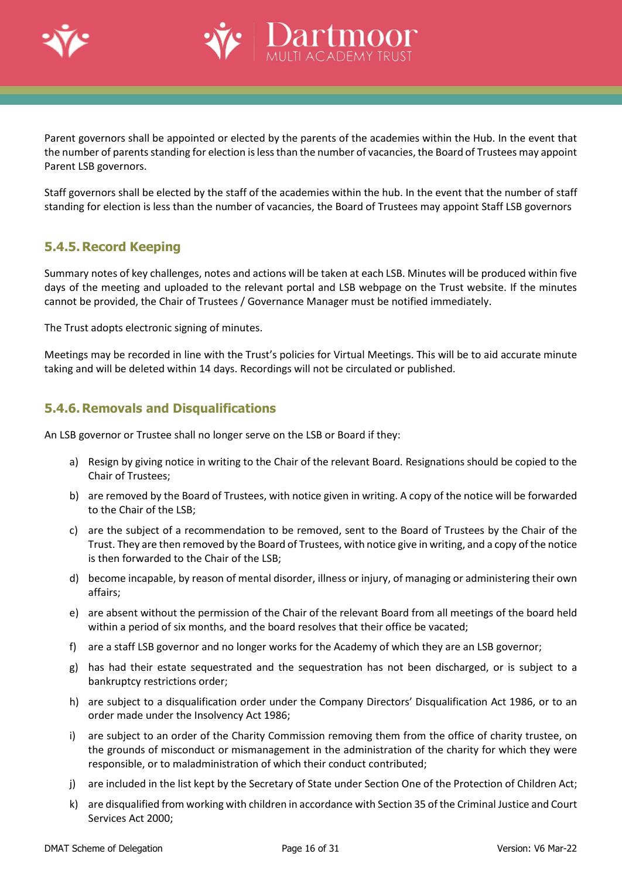



Parent governors shall be appointed or elected by the parents of the academies within the Hub. In the event that the number of parents standing for election is less than the number of vacancies, the Board of Trustees may appoint Parent LSB governors.

Staff governors shall be elected by the staff of the academies within the hub. In the event that the number of staff standing for election is less than the number of vacancies, the Board of Trustees may appoint Staff LSB governors

### <span id="page-15-0"></span>**5.4.5. Record Keeping**

Summary notes of key challenges, notes and actions will be taken at each LSB. Minutes will be produced within five days of the meeting and uploaded to the relevant portal and LSB webpage on the Trust website. If the minutes cannot be provided, the Chair of Trustees / Governance Manager must be notified immediately.

The Trust adopts electronic signing of minutes.

Meetings may be recorded in line with the Trust's policies for Virtual Meetings. This will be to aid accurate minute taking and will be deleted within 14 days. Recordings will not be circulated or published.

### <span id="page-15-1"></span>**5.4.6. Removals and Disqualifications**

An LSB governor or Trustee shall no longer serve on the LSB or Board if they:

- a) Resign by giving notice in writing to the Chair of the relevant Board. Resignations should be copied to the Chair of Trustees;
- b) are removed by the Board of Trustees, with notice given in writing. A copy of the notice will be forwarded to the Chair of the LSB;
- c) are the subject of a recommendation to be removed, sent to the Board of Trustees by the Chair of the Trust. They are then removed by the Board of Trustees, with notice give in writing, and a copy of the notice is then forwarded to the Chair of the LSB;
- d) become incapable, by reason of mental disorder, illness or injury, of managing or administering their own affairs;
- e) are absent without the permission of the Chair of the relevant Board from all meetings of the board held within a period of six months, and the board resolves that their office be vacated;
- f) are a staff LSB governor and no longer works for the Academy of which they are an LSB governor;
- g) has had their estate sequestrated and the sequestration has not been discharged, or is subject to a bankruptcy restrictions order;
- h) are subject to a disqualification order under the Company Directors' Disqualification Act 1986, or to an order made under the Insolvency Act 1986;
- i) are subject to an order of the Charity Commission removing them from the office of charity trustee, on the grounds of misconduct or mismanagement in the administration of the charity for which they were responsible, or to maladministration of which their conduct contributed;
- j) are included in the list kept by the Secretary of State under Section One of the Protection of Children Act;
- k) are disqualified from working with children in accordance with Section 35 of the Criminal Justice and Court Services Act 2000;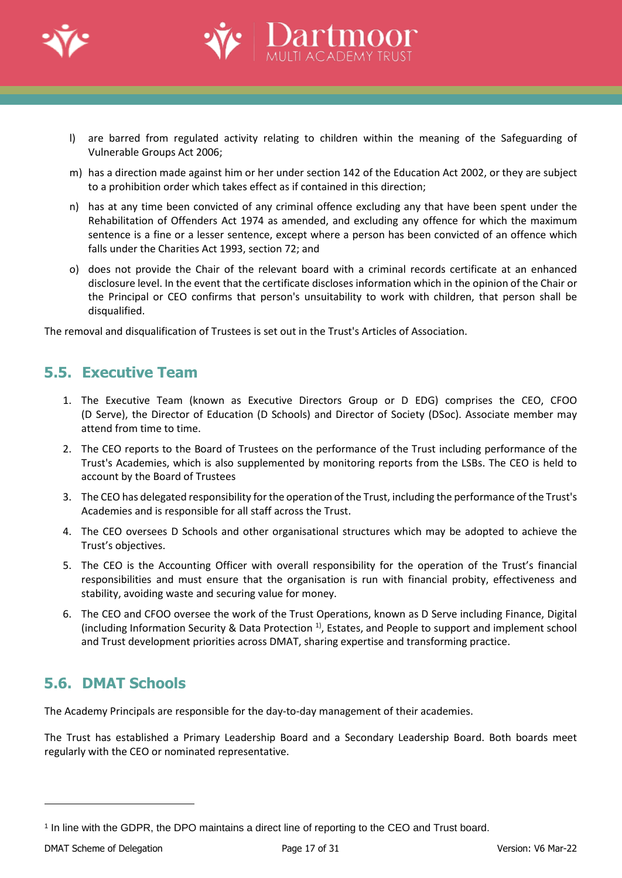

l) are barred from regulated activity relating to children within the meaning of the Safeguarding of Vulnerable Groups Act 2006;

artmoor

- m) has a direction made against him or her under section 142 of the Education Act 2002, or they are subject to a prohibition order which takes effect as if contained in this direction;
- n) has at any time been convicted of any criminal offence excluding any that have been spent under the Rehabilitation of Offenders Act 1974 as amended, and excluding any offence for which the maximum sentence is a fine or a lesser sentence, except where a person has been convicted of an offence which falls under the Charities Act 1993, section 72; and
- o) does not provide the Chair of the relevant board with a criminal records certificate at an enhanced disclosure level. In the event that the certificate discloses information which in the opinion of the Chair or the Principal or CEO confirms that person's unsuitability to work with children, that person shall be disqualified.

The removal and disqualification of Trustees is set out in the Trust's Articles of Association.

### <span id="page-16-0"></span>**5.5. Executive Team**

- 1. The Executive Team (known as Executive Directors Group or D EDG) comprises the CEO, CFOO (D Serve), the Director of Education (D Schools) and Director of Society (DSoc). Associate member may attend from time to time.
- 2. The CEO reports to the Board of Trustees on the performance of the Trust including performance of the Trust's Academies, which is also supplemented by monitoring reports from the LSBs. The CEO is held to account by the Board of Trustees
- 3. The CEO has delegated responsibility for the operation of the Trust, including the performance of the Trust's Academies and is responsible for all staff across the Trust.
- 4. The CEO oversees D Schools and other organisational structures which may be adopted to achieve the Trust's objectives.
- 5. The CEO is the Accounting Officer with overall responsibility for the operation of the Trust's financial responsibilities and must ensure that the organisation is run with financial probity, effectiveness and stability, avoiding waste and securing value for money.
- 6. The CEO and CFOO oversee the work of the Trust Operations, known as D Serve including Finance, Digital (including Information Security & Data Protection<sup>1)</sup>, Estates, and People to support and implement school and Trust development priorities across DMAT, sharing expertise and transforming practice.

### <span id="page-16-1"></span>**5.6. DMAT Schools**

The Academy Principals are responsible for the day-to-day management of their academies.

The Trust has established a Primary Leadership Board and a Secondary Leadership Board. Both boards meet regularly with the CEO or nominated representative.

<sup>1</sup> In line with the GDPR, the DPO maintains a direct line of reporting to the CEO and Trust board.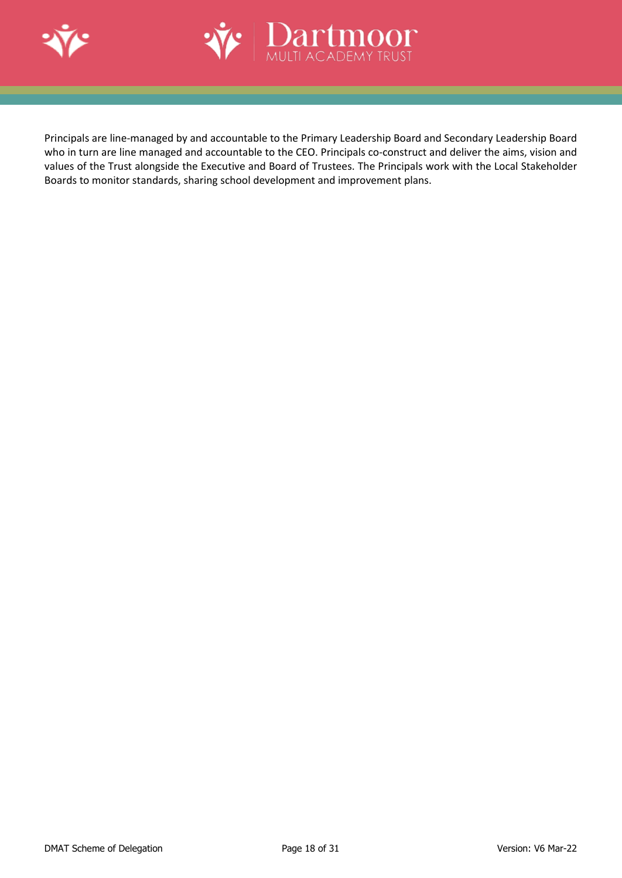



Principals are line-managed by and accountable to the Primary Leadership Board and Secondary Leadership Board who in turn are line managed and accountable to the CEO. Principals co-construct and deliver the aims, vision and values of the Trust alongside the Executive and Board of Trustees. The Principals work with the Local Stakeholder Boards to monitor standards, sharing school development and improvement plans.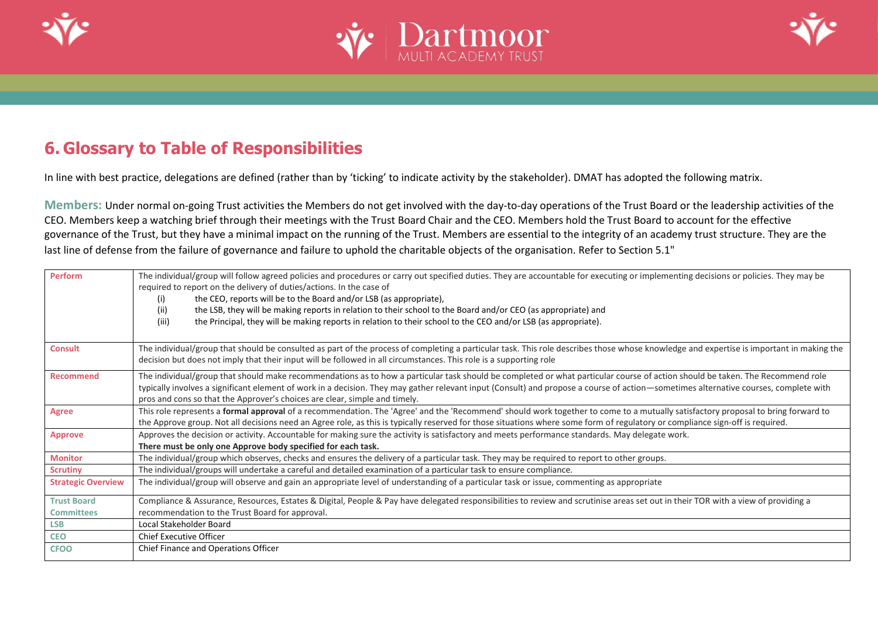





# **6. Glossary to Table of Responsibilities**

In line with best practice, delegations are defined (rather than by 'ticking' to indicate activity by the stakeholder). DMAT has adopted the following matrix.

**Members:** Under normal on-going Trust activities the Members do not get involved with the day-to-day operations of the Trust Board or the leadership activities of the CEO. Members keep a watching brief through their meetings with the Trust Board Chair and the CEO. Members hold the Trust Board to account for the effective governance of the Trust, but they have a minimal impact on the running of the Trust. Members are essential to the integrity of an academy trust structure. They are the last line of defense from the failure of governance and failure to uphold the charitable objects of the organisation. Refer to Section 5.1"

<span id="page-18-0"></span>

| Perform                   | The individual/group will follow agreed policies and procedures or carry out specified duties. They are accountable for executing or implementing decisions or policies. They may be     |
|---------------------------|------------------------------------------------------------------------------------------------------------------------------------------------------------------------------------------|
|                           | required to report on the delivery of duties/actions. In the case of                                                                                                                     |
|                           | the CEO, reports will be to the Board and/or LSB (as appropriate),<br>(i)                                                                                                                |
|                           | the LSB, they will be making reports in relation to their school to the Board and/or CEO (as appropriate) and<br>(ii)                                                                    |
|                           | the Principal, they will be making reports in relation to their school to the CEO and/or LSB (as appropriate).<br>(iii)                                                                  |
| <b>Consult</b>            | The individual/group that should be consulted as part of the process of completing a particular task. This role describes those whose knowledge and expertise is important in making the |
|                           | decision but does not imply that their input will be followed in all circumstances. This role is a supporting role                                                                       |
| Recommend                 | The individual/group that should make recommendations as to how a particular task should be completed or what particular course of action should be taken. The Recommend role            |
|                           | typically involves a significant element of work in a decision. They may gather relevant input (Consult) and propose a course of action—sometimes alternative courses, complete with     |
|                           | pros and cons so that the Approver's choices are clear, simple and timely.                                                                                                               |
| Agree                     | This role represents a formal approval of a recommendation. The 'Agree' and the 'Recommend' should work together to come to a mutually satisfactory proposal to bring forward to         |
|                           | the Approve group. Not all decisions need an Agree role, as this is typically reserved for those situations where some form of regulatory or compliance sign-off is required.            |
| <b>Approve</b>            | Approves the decision or activity. Accountable for making sure the activity is satisfactory and meets performance standards. May delegate work.                                          |
|                           | There must be only one Approve body specified for each task.                                                                                                                             |
| <b>Monitor</b>            | The individual/group which observes, checks and ensures the delivery of a particular task. They may be required to report to other groups.                                               |
| <b>Scrutiny</b>           | The individual/groups will undertake a careful and detailed examination of a particular task to ensure compliance.                                                                       |
| <b>Strategic Overview</b> | The individual/group will observe and gain an appropriate level of understanding of a particular task or issue, commenting as appropriate                                                |
| <b>Trust Board</b>        | Compliance & Assurance, Resources, Estates & Digital, People & Pay have delegated responsibilities to review and scrutinise areas set out in their TOR with a view of providing a        |
| <b>Committees</b>         | recommendation to the Trust Board for approval.                                                                                                                                          |
| <b>LSB</b>                | Local Stakeholder Board                                                                                                                                                                  |
| <b>CEO</b>                | <b>Chief Executive Officer</b>                                                                                                                                                           |
| <b>CFOO</b>               | Chief Finance and Operations Officer                                                                                                                                                     |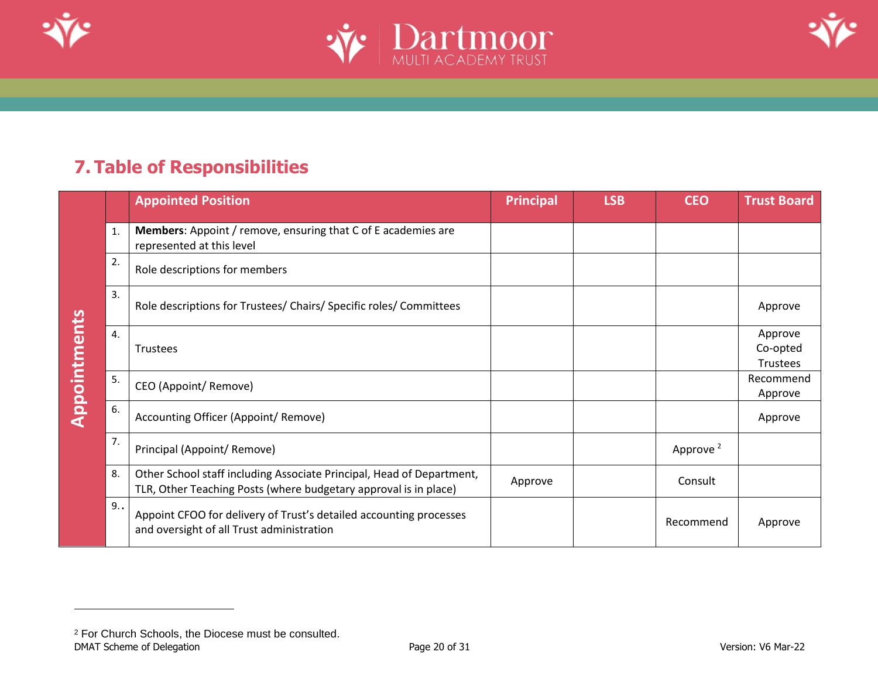





# **7. Table of Responsibilities**

<span id="page-19-0"></span>

|                     |    | <b>Appointed Position</b>                                                                                                                 | <b>Principal</b> | <b>LSB</b> | <b>CEO</b>           | <b>Trust Board</b>              |
|---------------------|----|-------------------------------------------------------------------------------------------------------------------------------------------|------------------|------------|----------------------|---------------------------------|
|                     | 1. | <b>Members:</b> Appoint / remove, ensuring that C of E academies are<br>represented at this level                                         |                  |            |                      |                                 |
|                     | 2. | Role descriptions for members                                                                                                             |                  |            |                      |                                 |
| <b>Appointments</b> | 3. | Role descriptions for Trustees/ Chairs/ Specific roles/ Committees                                                                        |                  |            |                      | Approve                         |
|                     | 4. | Trustees                                                                                                                                  |                  |            |                      | Approve<br>Co-opted<br>Trustees |
|                     | 5. | CEO (Appoint/ Remove)                                                                                                                     |                  |            |                      | Recommend<br>Approve            |
|                     | 6. | Accounting Officer (Appoint/ Remove)                                                                                                      |                  |            |                      | Approve                         |
|                     | 7. | Principal (Appoint/ Remove)                                                                                                               |                  |            | Approve <sup>2</sup> |                                 |
|                     | 8. | Other School staff including Associate Principal, Head of Department,<br>TLR, Other Teaching Posts (where budgetary approval is in place) | Approve          |            | Consult              |                                 |
|                     | 9. | Appoint CFOO for delivery of Trust's detailed accounting processes<br>and oversight of all Trust administration                           |                  |            | Recommend            | Approve                         |

<span id="page-19-1"></span>DMAT Scheme of Delegation **Page 20 of 31** Page 20 of 31 Version: V6 Mar-22 <sup>2</sup> For Church Schools, the Diocese must be consulted.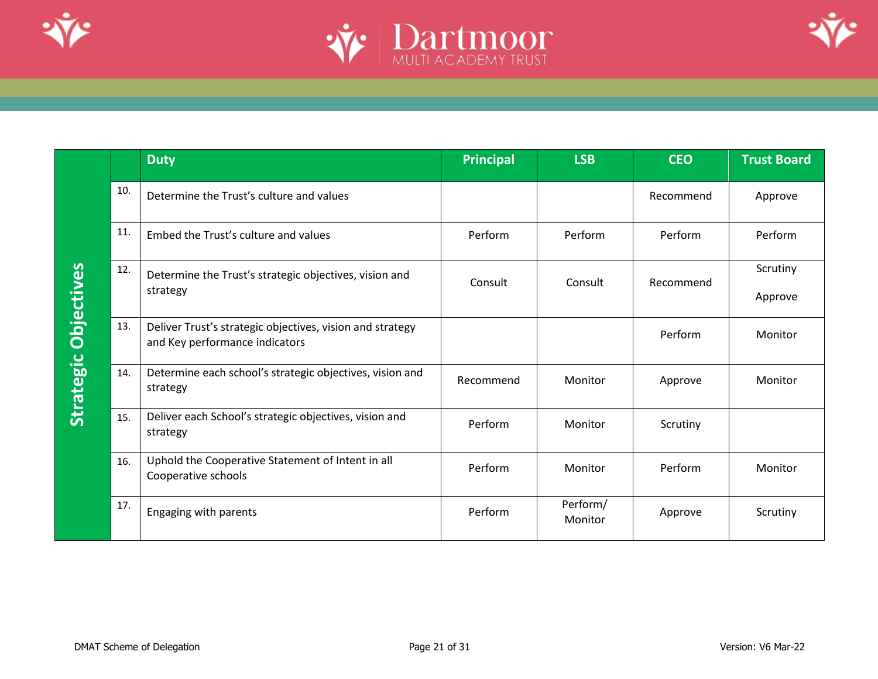





<span id="page-20-0"></span>

|     | <b>Duty</b>                                                                                 | <b>Principal</b> | <b>LSB</b>          | <b>CEO</b> | <b>Trust Board</b>  |
|-----|---------------------------------------------------------------------------------------------|------------------|---------------------|------------|---------------------|
| 10. | Determine the Trust's culture and values                                                    |                  |                     | Recommend  | Approve             |
| 11. | Embed the Trust's culture and values                                                        | Perform          | Perform             | Perform    | Perform             |
| 12. | Determine the Trust's strategic objectives, vision and<br>strategy                          | Consult          | Consult             | Recommend  | Scrutiny<br>Approve |
| 13. | Deliver Trust's strategic objectives, vision and strategy<br>and Key performance indicators |                  |                     | Perform    | Monitor             |
| 14. | Determine each school's strategic objectives, vision and<br>strategy                        | Recommend        | Monitor             | Approve    | Monitor             |
| 15. | Deliver each School's strategic objectives, vision and<br>strategy                          | Perform          | Monitor             | Scrutiny   |                     |
| 16. | Uphold the Cooperative Statement of Intent in all<br>Cooperative schools                    | Perform          | Monitor             | Perform    | Monitor             |
| 17. | Engaging with parents                                                                       | Perform          | Perform/<br>Monitor | Approve    | Scrutiny            |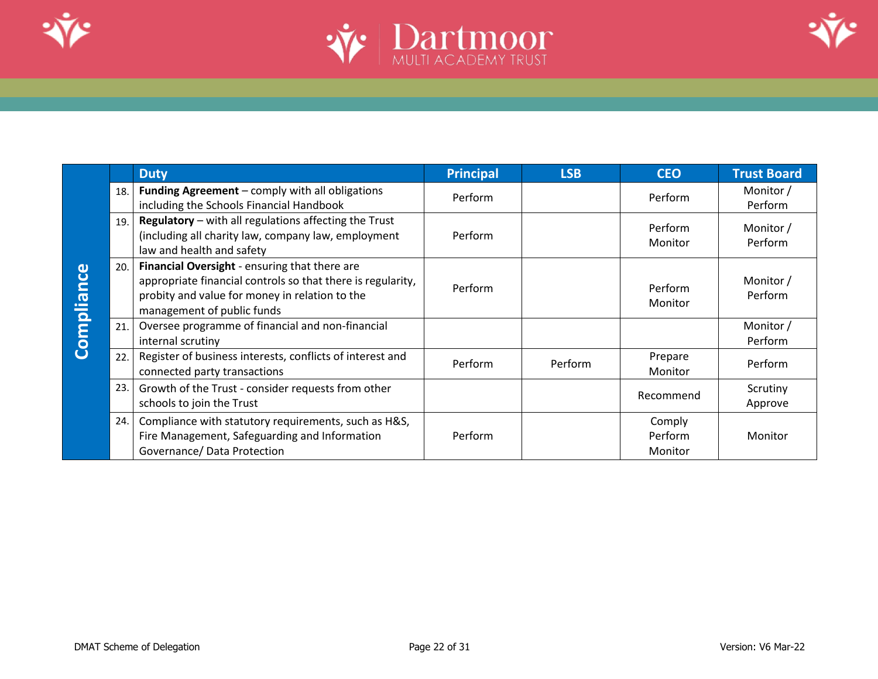





<span id="page-21-0"></span>

|            |     | <b>Duty</b>                                                                                                                                                                                  | <b>Principal</b> | <b>LSB</b> | <b>CEO</b>                   | <b>Trust Board</b>   |
|------------|-----|----------------------------------------------------------------------------------------------------------------------------------------------------------------------------------------------|------------------|------------|------------------------------|----------------------|
|            | 18. | Funding Agreement - comply with all obligations<br>including the Schools Financial Handbook                                                                                                  | Perform          |            | Perform                      | Monitor /<br>Perform |
| Compliance | 19. | Regulatory - with all regulations affecting the Trust<br>(including all charity law, company law, employment<br>law and health and safety                                                    | Perform          |            | Perform<br>Monitor           | Monitor /<br>Perform |
|            | 20. | Financial Oversight - ensuring that there are<br>appropriate financial controls so that there is regularity,<br>probity and value for money in relation to the<br>management of public funds | Perform          |            | Perform<br>Monitor           | Monitor /<br>Perform |
|            | 21. | Oversee programme of financial and non-financial<br>internal scrutiny                                                                                                                        |                  |            |                              | Monitor /<br>Perform |
|            | 22. | Register of business interests, conflicts of interest and<br>connected party transactions                                                                                                    | Perform          | Perform    | Prepare<br>Monitor           | Perform              |
|            | 23. | Growth of the Trust - consider requests from other<br>schools to join the Trust                                                                                                              |                  |            | Recommend                    | Scrutiny<br>Approve  |
|            | 24. | Compliance with statutory requirements, such as H&S,<br>Fire Management, Safeguarding and Information<br>Governance/ Data Protection                                                         | Perform          |            | Comply<br>Perform<br>Monitor | Monitor              |
|            |     |                                                                                                                                                                                              |                  |            |                              |                      |
|            |     | DMAT Scheme of Delegation                                                                                                                                                                    | Page 22 of 31    |            |                              | Version: V6 Mar-22   |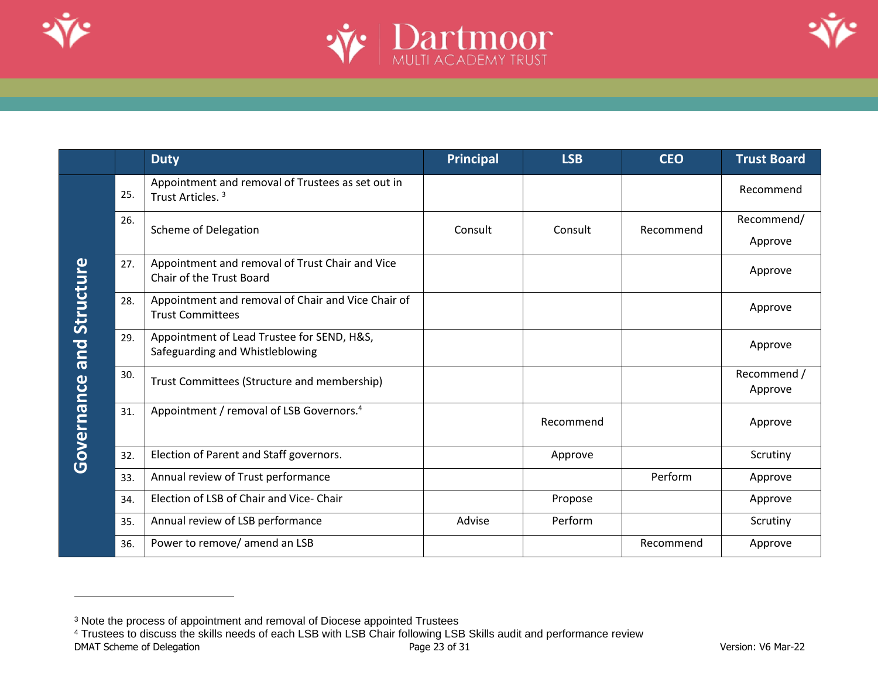





|                                 |     | <b>Duty</b>                                                                       | <b>Principal</b> | <b>LSB</b> | <b>CEO</b> | <b>Trust Board</b>     |
|---------------------------------|-----|-----------------------------------------------------------------------------------|------------------|------------|------------|------------------------|
|                                 | 25. | Appointment and removal of Trustees as set out in<br>Trust Articles. <sup>3</sup> |                  |            |            | Recommend              |
|                                 | 26. | <b>Scheme of Delegation</b>                                                       | Consult          | Consult    | Recommend  | Recommend/<br>Approve  |
|                                 | 27. | Appointment and removal of Trust Chair and Vice<br>Chair of the Trust Board       |                  |            |            | Approve                |
|                                 | 28. | Appointment and removal of Chair and Vice Chair of<br><b>Trust Committees</b>     |                  |            |            | Approve                |
|                                 | 29. | Appointment of Lead Trustee for SEND, H&S,<br>Safeguarding and Whistleblowing     |                  |            |            | Approve                |
|                                 | 30. | Trust Committees (Structure and membership)                                       |                  |            |            | Recommend /<br>Approve |
| <b>Governance and Structure</b> | 31. | Appointment / removal of LSB Governors. <sup>4</sup>                              |                  | Recommend  |            | Approve                |
|                                 | 32. | Election of Parent and Staff governors.                                           |                  | Approve    |            | Scrutiny               |
|                                 | 33. | Annual review of Trust performance                                                |                  |            | Perform    | Approve                |
|                                 | 34. | Election of LSB of Chair and Vice- Chair                                          |                  | Propose    |            | Approve                |
|                                 | 35. | Annual review of LSB performance                                                  | Advise           | Perform    |            | Scrutiny               |
|                                 | 36. | Power to remove/ amend an LSB                                                     |                  |            | Recommend  | Approve                |

<span id="page-22-0"></span><sup>&</sup>lt;sup>3</sup> Note the process of appointment and removal of Diocese appointed Trustees

DMAT Scheme of Delegation **Page 23** of 31 Version: V6 Mar-22 Version: V6 Mar-22 <sup>4</sup> Trustees to discuss the skills needs of each LSB with LSB Chair following LSB Skills audit and performance review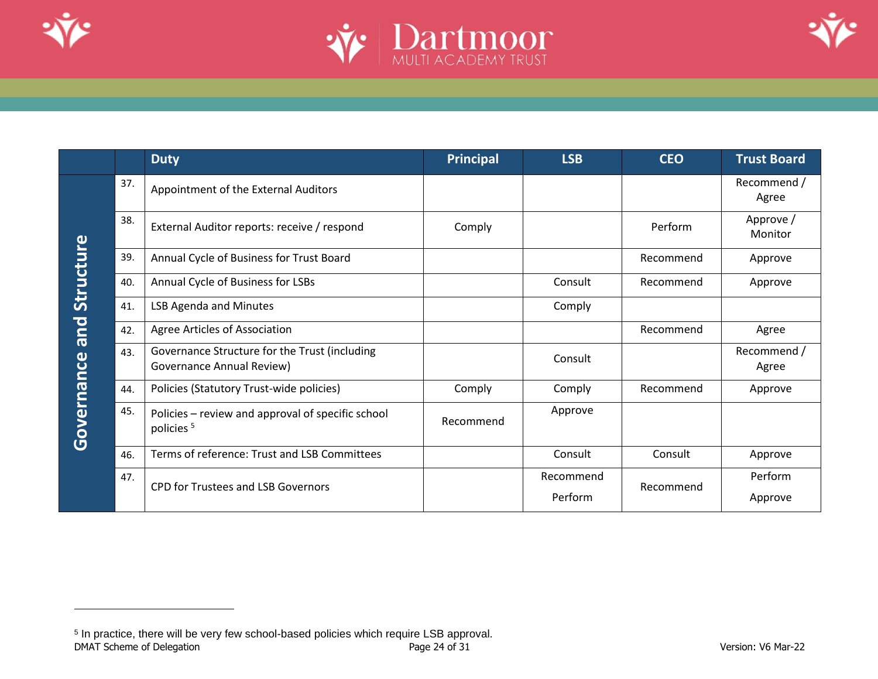





|                  |     | <b>Duty</b>                                                                | <b>Principal</b> | <b>LSB</b>           | <b>CEO</b> | <b>Trust Board</b>   |
|------------------|-----|----------------------------------------------------------------------------|------------------|----------------------|------------|----------------------|
|                  | 37. | Appointment of the External Auditors                                       |                  |                      |            | Recommend /<br>Agree |
|                  | 38. | External Auditor reports: receive / respond                                | Comply           |                      | Perform    | Approve /<br>Monitor |
|                  | 39. | Annual Cycle of Business for Trust Board                                   |                  |                      | Recommend  | Approve              |
| <b>Structure</b> | 40. | Annual Cycle of Business for LSBs                                          |                  | Consult              | Recommend  | Approve              |
|                  | 41. | <b>LSB Agenda and Minutes</b>                                              |                  | Comply               |            |                      |
| <b>Due</b>       | 42. | Agree Articles of Association                                              |                  |                      | Recommend  | Agree                |
|                  | 43. | Governance Structure for the Trust (including<br>Governance Annual Review) |                  | Consult              |            | Recommend /<br>Agree |
|                  | 44. | Policies (Statutory Trust-wide policies)                                   | Comply           | Comply               | Recommend  | Approve              |
| Governance       | 45. | Policies – review and approval of specific school<br>policies <sup>5</sup> | Recommend        | Approve              |            |                      |
|                  | 46. | Terms of reference: Trust and LSB Committees                               |                  | Consult              | Consult    | Approve              |
|                  | 47. | <b>CPD for Trustees and LSB Governors</b>                                  |                  | Recommend<br>Perform | Recommend  | Perform<br>Approve   |

DMAT Scheme of Delegation **Page 24 of 31** Page 24 of 31 Version: V6 Mar-22 <sup>5</sup> In practice, there will be very few school-based policies which require LSB approval.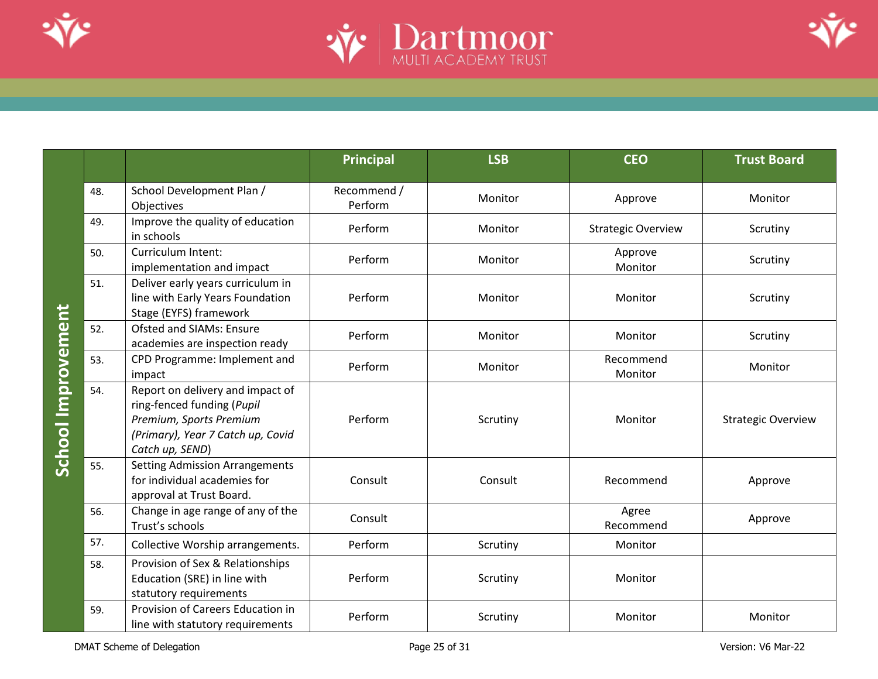





|                                 |                                                                                                                                                   | <b>Principal</b>       | <b>LSB</b> | <b>CEO</b>                | <b>Trust Board</b>        |
|---------------------------------|---------------------------------------------------------------------------------------------------------------------------------------------------|------------------------|------------|---------------------------|---------------------------|
| 48.                             | School Development Plan /<br>Objectives                                                                                                           | Recommend /<br>Perform | Monitor    | Approve                   | Monitor                   |
| 49.                             | Improve the quality of education<br>in schools                                                                                                    | Perform                | Monitor    | <b>Strategic Overview</b> | Scrutiny                  |
| 50.<br>51.<br>52.<br>53.<br>54. | Curriculum Intent:<br>implementation and impact                                                                                                   | Perform                | Monitor    | Approve<br>Monitor        | Scrutiny                  |
|                                 | Deliver early years curriculum in<br>line with Early Years Foundation<br>Stage (EYFS) framework                                                   | Perform                | Monitor    | Monitor                   | Scrutiny                  |
|                                 | <b>Ofsted and SIAMs: Ensure</b><br>academies are inspection ready                                                                                 | Perform                | Monitor    | Monitor                   | Scrutiny                  |
|                                 | CPD Programme: Implement and<br>impact                                                                                                            | Perform                | Monitor    | Recommend<br>Monitor      | Monitor                   |
|                                 | Report on delivery and impact of<br>ring-fenced funding (Pupil<br>Premium, Sports Premium<br>(Primary), Year 7 Catch up, Covid<br>Catch up, SEND) | Perform                | Scrutiny   | Monitor                   | <b>Strategic Overview</b> |
| 55.                             | <b>Setting Admission Arrangements</b><br>for individual academies for<br>approval at Trust Board.                                                 | Consult                | Consult    | Recommend                 | Approve                   |
| 56.                             | Change in age range of any of the<br>Trust's schools                                                                                              | Consult                |            | Agree<br>Recommend        | Approve                   |
| 57.                             | Collective Worship arrangements.                                                                                                                  | Perform                | Scrutiny   | Monitor                   |                           |
| 58.                             | Provision of Sex & Relationships<br>Education (SRE) in line with<br>statutory requirements                                                        | Perform                | Scrutiny   | Monitor                   |                           |
| 59.                             | Provision of Careers Education in<br>line with statutory requirements                                                                             | Perform                | Scrutiny   | Monitor                   | Monitor                   |

<span id="page-24-0"></span>DMAT Scheme of Delegation **Page 25 of 31** Page 25 of 31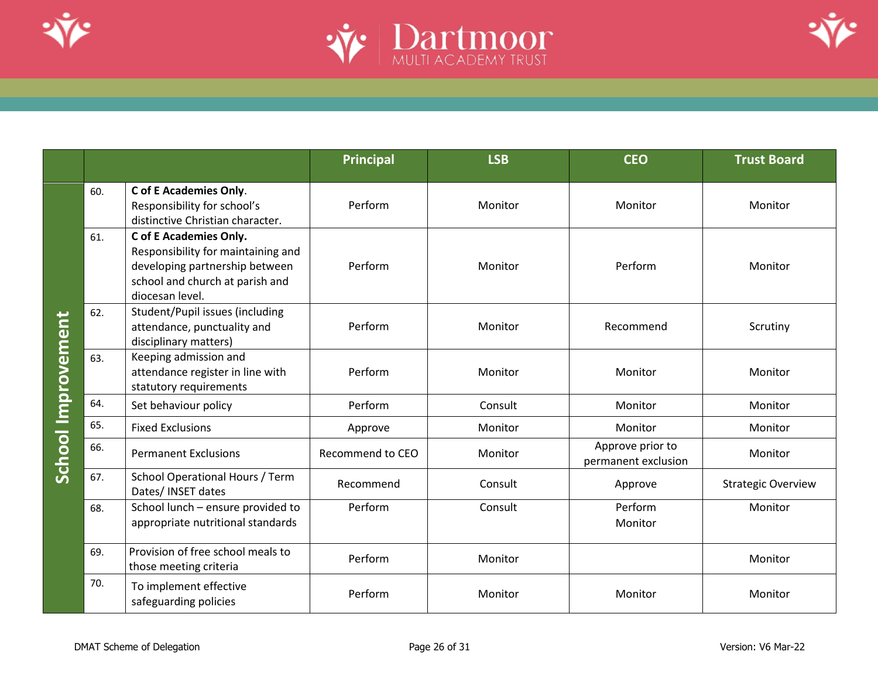





|                    |     |                                                                                                                                                      | <b>Principal</b> | <b>LSB</b> | <b>CEO</b>                              | <b>Trust Board</b>        |
|--------------------|-----|------------------------------------------------------------------------------------------------------------------------------------------------------|------------------|------------|-----------------------------------------|---------------------------|
| School Improvement | 60. | C of E Academies Only.<br>Responsibility for school's<br>distinctive Christian character.                                                            | Perform          | Monitor    | Monitor                                 | Monitor                   |
|                    | 61. | C of E Academies Only.<br>Responsibility for maintaining and<br>developing partnership between<br>school and church at parish and<br>diocesan level. | Perform          | Monitor    | Perform                                 | Monitor                   |
|                    | 62. | Student/Pupil issues (including<br>attendance, punctuality and<br>disciplinary matters)                                                              | Perform          | Monitor    | Recommend                               | Scrutiny                  |
|                    | 63. | Keeping admission and<br>attendance register in line with<br>statutory requirements                                                                  | Perform          | Monitor    | Monitor                                 | Monitor                   |
|                    | 64. | Set behaviour policy                                                                                                                                 | Perform          | Consult    | Monitor                                 | Monitor                   |
|                    | 65. | <b>Fixed Exclusions</b>                                                                                                                              | Approve          | Monitor    | Monitor                                 | Monitor                   |
|                    | 66. | <b>Permanent Exclusions</b>                                                                                                                          | Recommend to CEO | Monitor    | Approve prior to<br>permanent exclusion | Monitor                   |
|                    | 67. | School Operational Hours / Term<br>Dates/ INSET dates                                                                                                | Recommend        | Consult    | Approve                                 | <b>Strategic Overview</b> |
|                    | 68. | School lunch - ensure provided to<br>appropriate nutritional standards                                                                               | Perform          | Consult    | Perform<br>Monitor                      | Monitor                   |
|                    | 69. | Provision of free school meals to<br>those meeting criteria                                                                                          | Perform          | Monitor    |                                         | Monitor                   |
|                    | 70. | To implement effective<br>safeguarding policies                                                                                                      | Perform          | Monitor    | Monitor                                 | Monitor                   |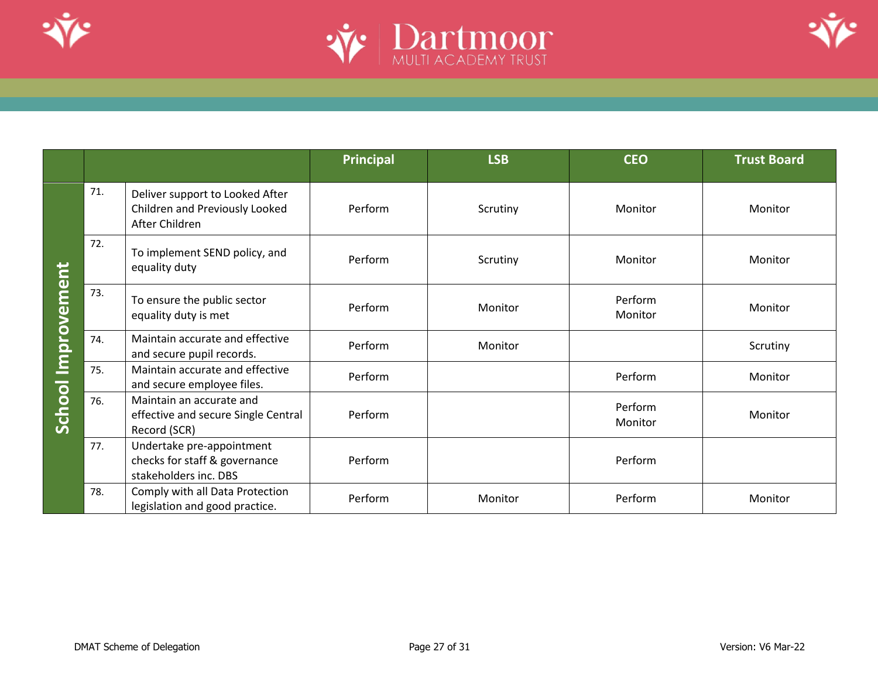





|                       |     |                                                                                     | Principal | <b>LSB</b> | <b>CEO</b>         | <b>Trust Board</b> |
|-----------------------|-----|-------------------------------------------------------------------------------------|-----------|------------|--------------------|--------------------|
| Improvement<br>School | 71. | Deliver support to Looked After<br>Children and Previously Looked<br>After Children | Perform   | Scrutiny   | Monitor            | Monitor            |
|                       | 72. | To implement SEND policy, and<br>equality duty                                      | Perform   | Scrutiny   | Monitor            | Monitor            |
|                       | 73. | To ensure the public sector<br>equality duty is met                                 | Perform   | Monitor    | Perform<br>Monitor | Monitor            |
|                       | 74. | Maintain accurate and effective<br>and secure pupil records.                        | Perform   | Monitor    |                    | Scrutiny           |
|                       | 75. | Maintain accurate and effective<br>and secure employee files.                       | Perform   |            | Perform            | Monitor            |
|                       | 76. | Maintain an accurate and<br>effective and secure Single Central<br>Record (SCR)     | Perform   |            | Perform<br>Monitor | Monitor            |
|                       | 77. | Undertake pre-appointment<br>checks for staff & governance<br>stakeholders inc. DBS | Perform   |            | Perform            |                    |
|                       | 78. | Comply with all Data Protection<br>legislation and good practice.                   | Perform   | Monitor    | Perform            | Monitor            |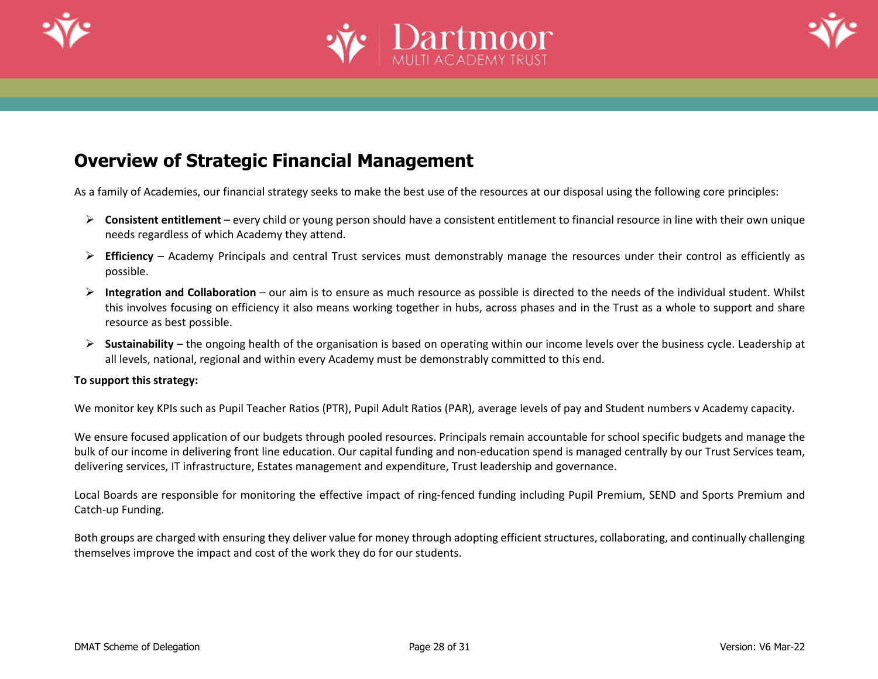





## **Overview of Strategic Financial Management**

As a family of Academies, our financial strategy seeks to make the best use of the resources at our disposal using the following core principles:

- ➢ **Consistent entitlement** every child or young person should have a consistent entitlement to financial resource in line with their own unique needs regardless of which Academy they attend.
- ➢ **Efficiency** Academy Principals and central Trust services must demonstrably manage the resources under their control as efficiently as possible.
- ➢ **Integration and Collaboration** our aim is to ensure as much resource as possible is directed to the needs of the individual student. Whilst this involves focusing on efficiency it also means working together in hubs, across phases and in the Trust as a whole to support and share resource as best possible.
- ➢ **Sustainability** the ongoing health of the organisation is based on operating within our income levels over the business cycle. Leadership at all levels, national, regional and within every Academy must be demonstrably committed to this end.

#### **To support this strategy:**

We monitor key KPIs such as Pupil Teacher Ratios (PTR), Pupil Adult Ratios (PAR), average levels of pay and Student numbers v Academy capacity.

We ensure focused application of our budgets through pooled resources. Principals remain accountable for school specific budgets and manage the bulk of our income in delivering front line education. Our capital funding and non-education spend is managed centrally by our Trust Services team, delivering services, IT infrastructure, Estates management and expenditure, Trust leadership and governance.

Local Boards are responsible for monitoring the effective impact of ring-fenced funding including Pupil Premium, SEND and Sports Premium and Catch-up Funding.

Both groups are charged with ensuring they deliver value for money through adopting efficient structures, collaborating, and continually challenging themselves improve the impact and cost of the work they do for our students.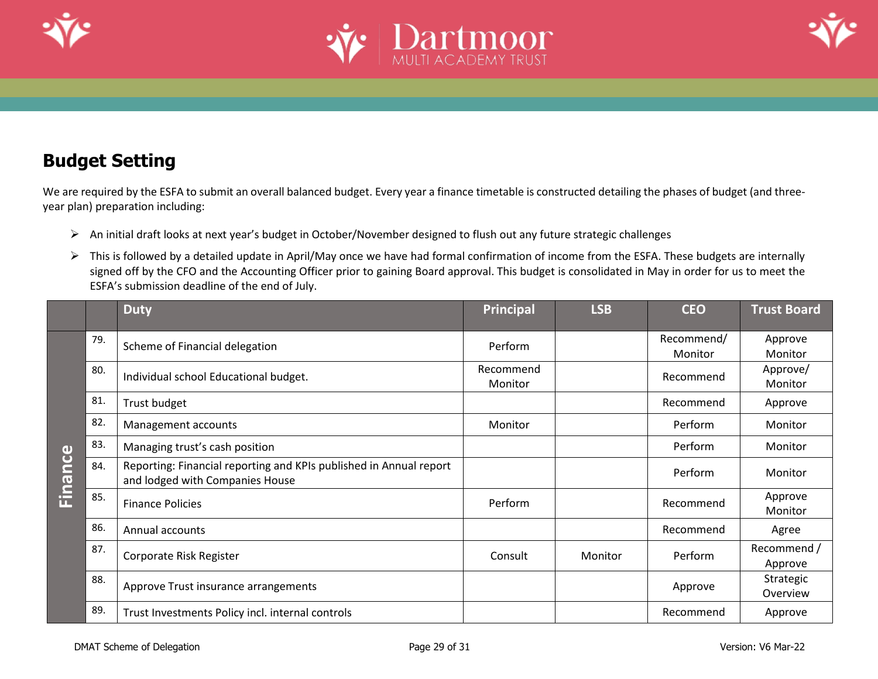





# **Budget Setting**

We are required by the ESFA to submit an overall balanced budget. Every year a finance timetable is constructed detailing the phases of budget (and threeyear plan) preparation including:

- ➢ An initial draft looks at next year's budget in October/November designed to flush out any future strategic challenges
- ➢ This is followed by a detailed update in April/May once we have had formal confirmation of income from the ESFA. These budgets are internally signed off by the CFO and the Accounting Officer prior to gaining Board approval. This budget is consolidated in May in order for us to meet the ESFA's submission deadline of the end of July.

<span id="page-28-0"></span>

|                |     | <b>Duty</b>                                                                                           | <b>Principal</b>     | <b>LSB</b> | <b>CEO</b>            | <b>Trust Board</b>     |
|----------------|-----|-------------------------------------------------------------------------------------------------------|----------------------|------------|-----------------------|------------------------|
| <b>Einance</b> | 79. | Scheme of Financial delegation                                                                        | Perform              |            | Recommend/<br>Monitor | Approve<br>Monitor     |
|                | 80. | Individual school Educational budget.                                                                 | Recommend<br>Monitor |            | Recommend             | Approve/<br>Monitor    |
|                | 81. | Trust budget                                                                                          |                      |            | Recommend             | Approve                |
|                | 82. | Management accounts                                                                                   | Monitor              |            | Perform               | Monitor                |
|                | 83. | Managing trust's cash position                                                                        |                      |            | Perform               | Monitor                |
|                | 84. | Reporting: Financial reporting and KPIs published in Annual report<br>and lodged with Companies House |                      |            | Perform               | Monitor                |
|                | 85. | <b>Finance Policies</b>                                                                               | Perform              |            | Recommend             | Approve<br>Monitor     |
|                | 86. | Annual accounts                                                                                       |                      |            | Recommend             | Agree                  |
|                | 87. | Corporate Risk Register                                                                               | Consult              | Monitor    | Perform               | Recommend /<br>Approve |
|                | 88. | Approve Trust insurance arrangements                                                                  |                      |            | Approve               | Strategic<br>Overview  |
|                | 89. | Trust Investments Policy incl. internal controls                                                      |                      |            | Recommend             | Approve                |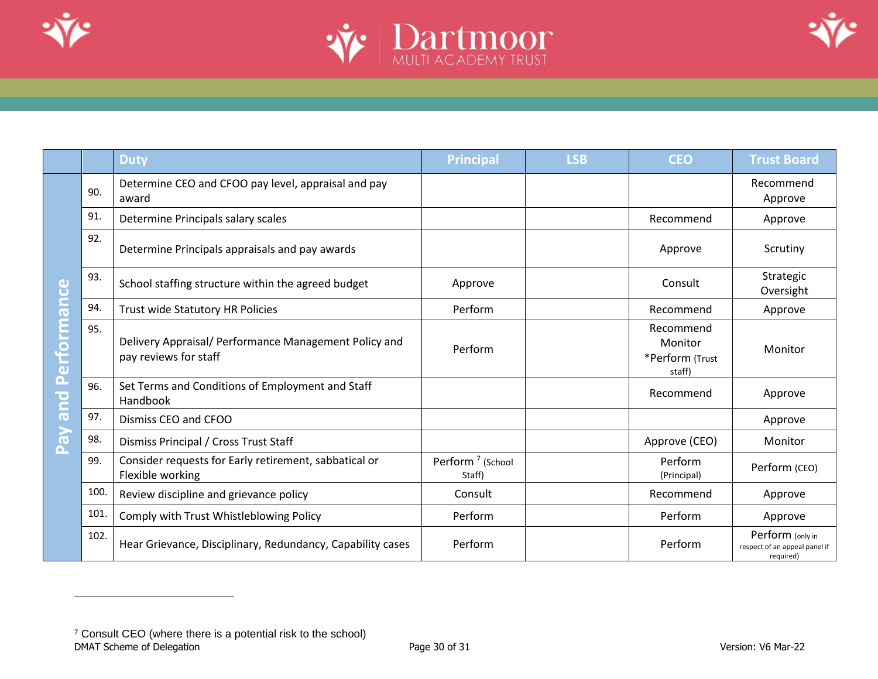





|                                           |      | <b>Duty</b>                                                                    | <b>Principal</b>                       | <b>LSB</b> | <b>CEO</b>                                        | <b>Trust Board</b>                                             |
|-------------------------------------------|------|--------------------------------------------------------------------------------|----------------------------------------|------------|---------------------------------------------------|----------------------------------------------------------------|
| erformance<br>$\tilde{\mathbf{p}}$<br>and | 90.  | Determine CEO and CFOO pay level, appraisal and pay<br>award                   |                                        |            |                                                   | Recommend<br>Approve                                           |
|                                           | 91.  | Determine Principals salary scales                                             |                                        |            | Recommend                                         | Approve                                                        |
|                                           | 92.  | Determine Principals appraisals and pay awards                                 |                                        |            | Approve                                           | Scrutiny                                                       |
|                                           | 93.  | School staffing structure within the agreed budget                             | Approve                                |            | Consult                                           | Strategic<br>Oversight                                         |
|                                           | 94.  | Trust wide Statutory HR Policies                                               | Perform                                |            | Recommend                                         | Approve                                                        |
|                                           | 95.  | Delivery Appraisal/ Performance Management Policy and<br>pay reviews for staff | Perform                                |            | Recommend<br>Monitor<br>*Perform (Trust<br>staff) | Monitor                                                        |
|                                           | 96.  | Set Terms and Conditions of Employment and Staff<br>Handbook                   |                                        |            | Recommend                                         | Approve                                                        |
|                                           | 97.  | Dismiss CEO and CFOO                                                           |                                        |            |                                                   | Approve                                                        |
| $\mathbf{r}$<br>Δ.                        | 98.  | Dismiss Principal / Cross Trust Staff                                          |                                        |            | Approve (CEO)                                     | Monitor                                                        |
|                                           | 99.  | Consider requests for Early retirement, sabbatical or<br>Flexible working      | Perform <sup>7</sup> (School<br>Staff) |            | Perform<br>(Principal)                            | Perform (CEO)                                                  |
|                                           | 100. | Review discipline and grievance policy                                         | Consult                                |            | Recommend                                         | Approve                                                        |
|                                           | 101. | Comply with Trust Whistleblowing Policy                                        | Perform                                |            | Perform                                           | Approve                                                        |
|                                           | 102. | Hear Grievance, Disciplinary, Redundancy, Capability cases                     | Perform                                |            | Perform                                           | Perform (only in<br>respect of an appeal panel if<br>required) |

<span id="page-29-0"></span>DMAT Scheme of Delegation and the Contract of Page 30 of 31 Version: V6 Mar-22 Version: V6 Mar-22 <sup>7</sup> Consult CEO (where there is a potential risk to the school)